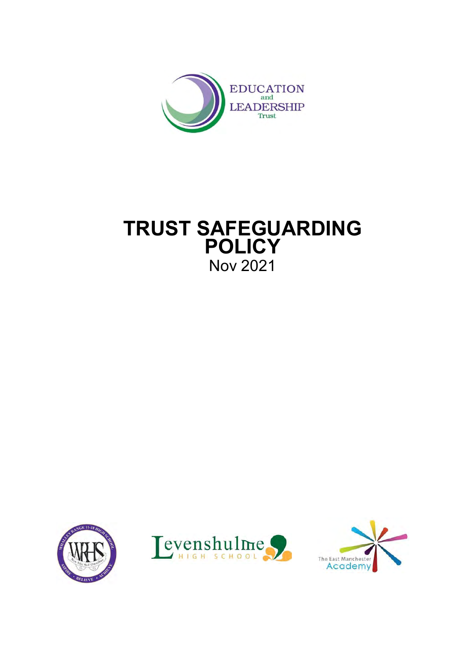

# **TRUST SAFEGUARDING POLICY** Nov 2021





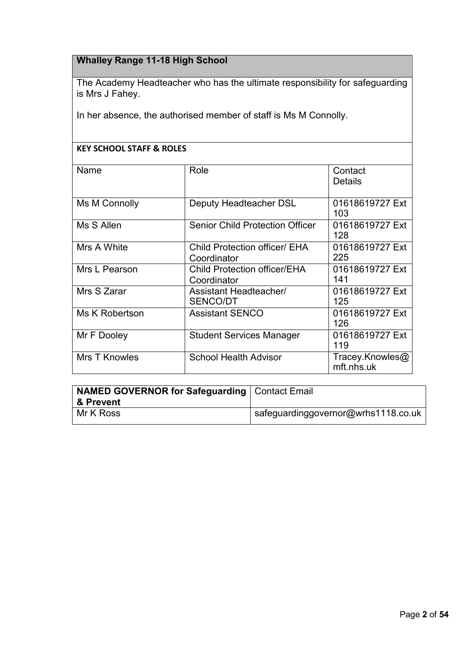# **Whalley Range 11-18 High School**

The Academy Headteacher who has the ultimate responsibility for safeguarding is Mrs J Fahey.

In her absence, the authorised member of staff is Ms M Connolly.

## **KEY SCHOOL STAFF & ROLES**

| Name                 | Role                                                | Contact<br><b>Details</b>     |
|----------------------|-----------------------------------------------------|-------------------------------|
| Ms M Connolly        | Deputy Headteacher DSL                              | 01618619727 Ext<br>103        |
| Ms S Allen           | <b>Senior Child Protection Officer</b>              | 01618619727 Ext<br>128        |
| Mrs A White          | <b>Child Protection officer/ EHA</b><br>Coordinator | 01618619727 Ext<br>225        |
| Mrs L Pearson        | <b>Child Protection officer/EHA</b><br>Coordinator  | 01618619727 Ext<br>141        |
| Mrs S Zarar          | Assistant Headteacher/<br><b>SENCO/DT</b>           | 01618619727 Ext<br>125        |
| Ms K Robertson       | <b>Assistant SENCO</b>                              | 01618619727 Ext<br>126        |
| Mr F Dooley          | <b>Student Services Manager</b>                     | 01618619727 Ext<br>119        |
| <b>Mrs T Knowles</b> | <b>School Health Advisor</b>                        | Tracey.Knowles@<br>mft.nhs.uk |

| <b>NAMED GOVERNOR for Safeguarding   Contact Email</b> |                                     |
|--------------------------------------------------------|-------------------------------------|
| 8 Prevent                                              |                                     |
| Mr K Ross                                              | safeguardinggovernor@wrhs1118.co.uk |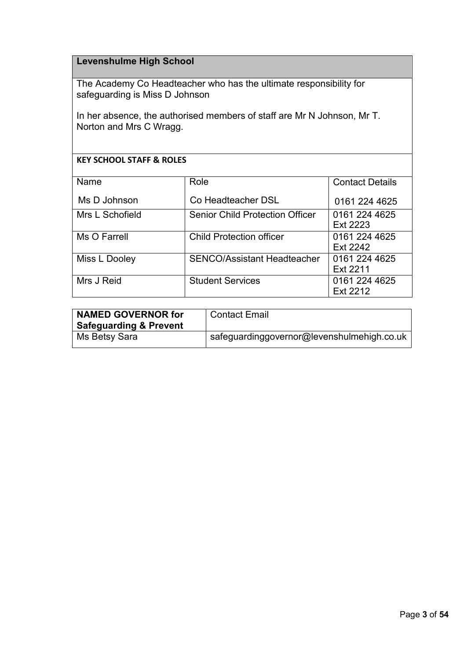# **Levenshulme High School**

The Academy Co Headteacher who has the ultimate responsibility for safeguarding is Miss D Johnson

In her absence, the authorised members of staff are Mr N Johnson, Mr T. Norton and Mrs C Wragg.

## **KEY SCHOOL STAFF & ROLES**

| Name            | Role                                   | <b>Contact Details</b>           |
|-----------------|----------------------------------------|----------------------------------|
| Ms D Johnson    | Co Headteacher DSL                     | 0161 224 4625                    |
| Mrs L Schofield | <b>Senior Child Protection Officer</b> | 0161 224 4625<br>Ext 2223        |
| Ms O Farrell    | <b>Child Protection officer</b>        | 0161 224 4625<br><b>Ext 2242</b> |
| Miss L Dooley   | <b>SENCO/Assistant Headteacher</b>     | 0161 224 4625<br>Ext 2211        |
| Mrs J Reid      | <b>Student Services</b>                | 0161 224 4625<br>Ext 2212        |

| <b>NAMED GOVERNOR for</b><br><b>Safeguarding &amp; Prevent</b> | <b>Contact Email</b>                       |
|----------------------------------------------------------------|--------------------------------------------|
| Ms Betsy Sara                                                  | safeguardinggovernor@levenshulmehigh.co.uk |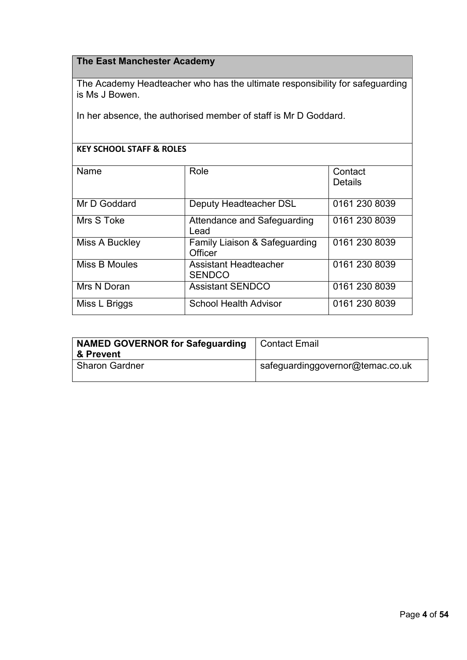## **The East Manchester Academy**

The Academy Headteacher who has the ultimate responsibility for safeguarding is Ms J Bowen.

In her absence, the authorised member of staff is Mr D Goddard.

## **KEY SCHOOL STAFF & ROLES**

| Name           | Role                                          | Contact<br><b>Details</b> |
|----------------|-----------------------------------------------|---------------------------|
| Mr D Goddard   | Deputy Headteacher DSL                        | 0161 230 8039             |
| Mrs S Toke     | Attendance and Safeguarding<br>Lead           | 0161 230 8039             |
| Miss A Buckley | Family Liaison & Safeguarding<br>Officer      | 0161 230 8039             |
| Miss B Moules  | <b>Assistant Headteacher</b><br><b>SENDCO</b> | 0161 230 8039             |
| Mrs N Doran    | <b>Assistant SENDCO</b>                       | 0161 230 8039             |
| Miss L Briggs  | <b>School Health Advisor</b>                  | 0161 230 8039             |

| <b>NAMED GOVERNOR for Safeguarding</b> | <b>Contact Email</b>             |
|----------------------------------------|----------------------------------|
| & Prevent                              |                                  |
| <b>Sharon Gardner</b>                  | safeguardinggovernor@temac.co.uk |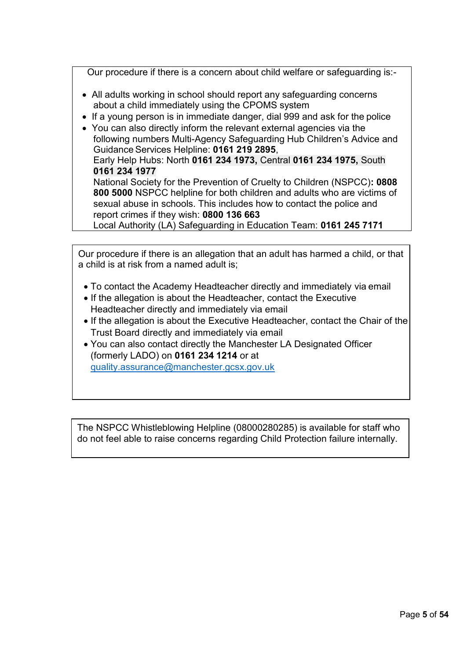Our procedure if there is a concern about child welfare or safeguarding is:-

- All adults working in school should report any safeguarding concerns about a child immediately using the CPOMS system
- If a young person is in immediate danger, dial 999 and ask for the police
- You can also directly inform the relevant external agencies via the following numbers Multi-Agency Safeguarding Hub Children's Advice and Guidance Services Helpline: **0161 219 2895**, Early Help Hubs: North **0161 234 1973,** Central **0161 234 1975,** South **0161 234 1977** National Society for the Prevention of Cruelty to Children (NSPCC)**: 0808 800 5000** NSPCC helpline for both children and adults who are victims of sexual abuse in schools. This includes how to contact the police and report crimes if they wish: **0800 136 663** Local Authority (LA) Safeguarding in Education Team: **0161 245 7171**

Our procedure if there is an allegation that an adult has harmed a child, or that a child is at risk from a named adult is;

- To contact the Academy Headteacher directly and immediately via email
- If the allegation is about the Headteacher, contact the Executive Headteacher directly and immediately via email
- If the allegation is about the Executive Headteacher, contact the Chair of the Trust Board directly and immediately via email
- You can also contact directly the Manchester LA Designated Officer (formerly LADO) on **0161 234 1214** or at [quality.assurance@manchester.gcsx.gov.uk](mailto:quality.assurance@manchester.gcsx.gov.uk)

The NSPCC Whistleblowing Helpline (08000280285) is available for staff who do not feel able to raise concerns regarding Child Protection failure internally.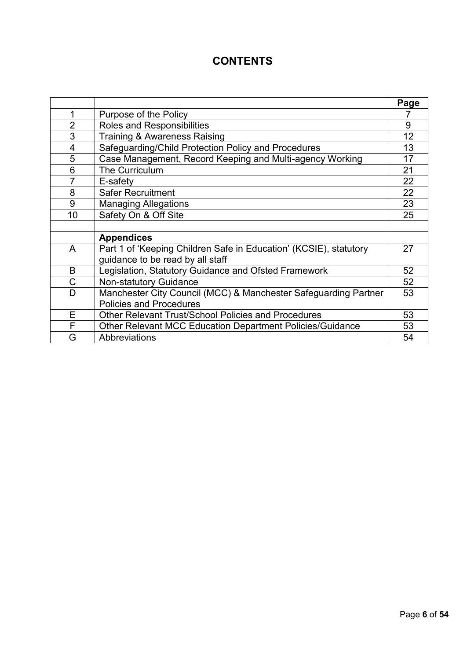# **CONTENTS**

|                |                                                                   | Page |
|----------------|-------------------------------------------------------------------|------|
| 1              | Purpose of the Policy                                             |      |
| $\overline{2}$ | Roles and Responsibilities                                        | 9    |
| 3              | <b>Training &amp; Awareness Raising</b>                           | 12   |
| 4              | Safeguarding/Child Protection Policy and Procedures               | 13   |
| 5              | Case Management, Record Keeping and Multi-agency Working          | 17   |
| 6              | The Curriculum                                                    | 21   |
| 7              | E-safety                                                          | 22   |
| 8              | <b>Safer Recruitment</b>                                          | 22   |
| 9              | <b>Managing Allegations</b>                                       | 23   |
| 10             | Safety On & Off Site                                              | 25   |
|                |                                                                   |      |
|                | <b>Appendices</b>                                                 |      |
| A              | Part 1 of 'Keeping Children Safe in Education' (KCSIE), statutory | 27   |
|                | guidance to be read by all staff                                  |      |
| B              | Legislation, Statutory Guidance and Ofsted Framework              | 52   |
| C              | <b>Non-statutory Guidance</b>                                     | 52   |
| D              | Manchester City Council (MCC) & Manchester Safeguarding Partner   | 53   |
|                | <b>Policies and Procedures</b>                                    |      |
| Е              | Other Relevant Trust/School Policies and Procedures               | 53   |
| F              | Other Relevant MCC Education Department Policies/Guidance         | 53   |
| G              | Abbreviations                                                     | 54   |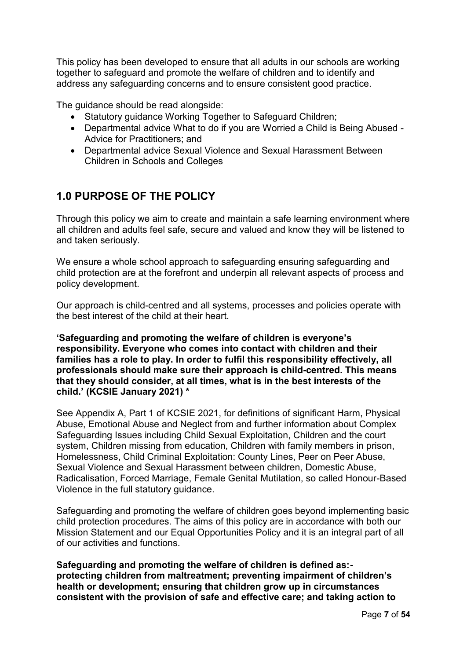This policy has been developed to ensure that all adults in our schools are working together to safeguard and promote the welfare of children and to identify and address any safeguarding concerns and to ensure consistent good practice.

The guidance should be read alongside:

- Statutory guidance Working Together to Safeguard Children;
- Departmental advice What to do if you are Worried a Child is Being Abused Advice for Practitioners; and
- Departmental advice Sexual Violence and Sexual Harassment Between Children in Schools and Colleges

# **1.0 PURPOSE OF THE POLICY**

Through this policy we aim to create and maintain a safe learning environment where all children and adults feel safe, secure and valued and know they will be listened to and taken seriously.

We ensure a whole school approach to safeguarding ensuring safeguarding and child protection are at the forefront and underpin all relevant aspects of process and policy development.

Our approach is child-centred and all systems, processes and policies operate with the best interest of the child at their heart.

**'Safeguarding and promoting the welfare of children is everyone's responsibility. Everyone who comes into contact with children and their families has a role to play. In order to fulfil this responsibility effectively, all professionals should make sure their approach is child-centred. This means that they should consider, at all times, what is in the best interests of the child.' (KCSIE January 2021) \***

See Appendix A, Part 1 of KCSIE 2021, for definitions of significant Harm, Physical Abuse, Emotional Abuse and Neglect from and further information about Complex Safeguarding Issues including Child Sexual Exploitation, Children and the court system, Children missing from education, Children with family members in prison, Homelessness, Child Criminal Exploitation: County Lines, Peer on Peer Abuse, Sexual Violence and Sexual Harassment between children, Domestic Abuse, Radicalisation, Forced Marriage, Female Genital Mutilation, so called Honour-Based Violence in the full statutory guidance.

Safeguarding and promoting the welfare of children goes beyond implementing basic child protection procedures. The aims of this policy are in accordance with both our Mission Statement and our Equal Opportunities Policy and it is an integral part of all of our activities and functions.

**Safeguarding and promoting the welfare of children is defined as: protecting children from maltreatment; preventing impairment of children's health or development; ensuring that children grow up in circumstances consistent with the provision of safe and effective care; and taking action to**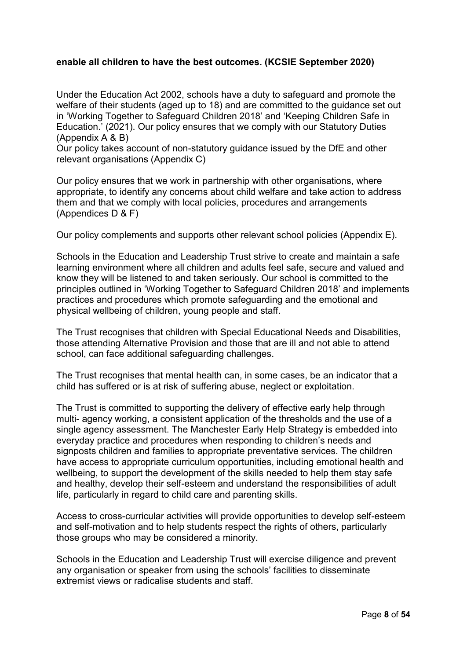## **enable all children to have the best outcomes. (KCSIE September 2020)**

Under the Education Act 2002, schools have a duty to safeguard and promote the welfare of their students (aged up to 18) and are committed to the guidance set out in 'Working Together to Safeguard Children 2018' and 'Keeping Children Safe in Education.' (2021). Our policy ensures that we comply with our Statutory Duties (Appendix A & B)

Our policy takes account of non-statutory guidance issued by the DfE and other relevant organisations (Appendix C)

Our policy ensures that we work in partnership with other organisations, where appropriate, to identify any concerns about child welfare and take action to address them and that we comply with local policies, procedures and arrangements (Appendices D & F)

Our policy complements and supports other relevant school policies (Appendix E).

Schools in the Education and Leadership Trust strive to create and maintain a safe learning environment where all children and adults feel safe, secure and valued and know they will be listened to and taken seriously. Our school is committed to the principles outlined in 'Working Together to Safeguard Children 2018' and implements practices and procedures which promote safeguarding and the emotional and physical wellbeing of children, young people and staff.

The Trust recognises that children with Special Educational Needs and Disabilities, those attending Alternative Provision and those that are ill and not able to attend school, can face additional safeguarding challenges.

The Trust recognises that mental health can, in some cases, be an indicator that a child has suffered or is at risk of suffering abuse, neglect or exploitation.

The Trust is committed to supporting the delivery of effective early help through multi- agency working, a consistent application of the thresholds and the use of a single agency assessment. The Manchester Early Help Strategy is embedded into everyday practice and procedures when responding to children's needs and signposts children and families to appropriate preventative services. The children have access to appropriate curriculum opportunities, including emotional health and wellbeing, to support the development of the skills needed to help them stay safe and healthy, develop their self-esteem and understand the responsibilities of adult life, particularly in regard to child care and parenting skills.

Access to cross-curricular activities will provide opportunities to develop self-esteem and self-motivation and to help students respect the rights of others, particularly those groups who may be considered a minority.

Schools in the Education and Leadership Trust will exercise diligence and prevent any organisation or speaker from using the schools' facilities to disseminate extremist views or radicalise students and staff.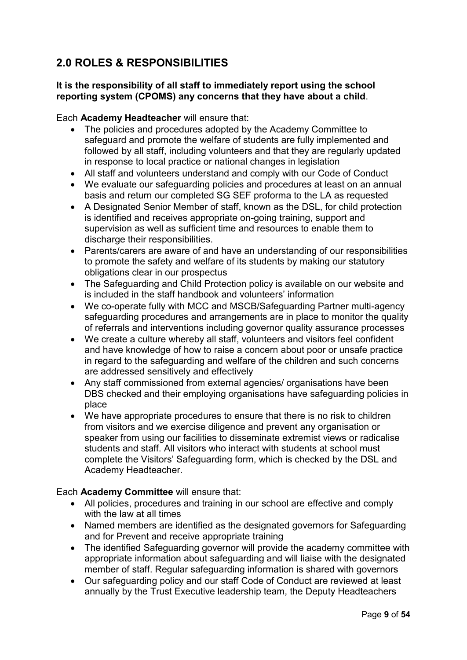# **2.0 ROLES & RESPONSIBILITIES**

## **It is the responsibility of all staff to immediately report using the school reporting system (CPOMS) any concerns that they have about a child**.

## Each **Academy Headteacher** will ensure that:

- The policies and procedures adopted by the Academy Committee to safeguard and promote the welfare of students are fully implemented and followed by all staff, including volunteers and that they are regularly updated in response to local practice or national changes in legislation
- All staff and volunteers understand and comply with our Code of Conduct
- We evaluate our safeguarding policies and procedures at least on an annual basis and return our completed SG SEF proforma to the LA as requested
- A Designated Senior Member of staff, known as the DSL, for child protection is identified and receives appropriate on-going training, support and supervision as well as sufficient time and resources to enable them to discharge their responsibilities.
- Parents/carers are aware of and have an understanding of our responsibilities to promote the safety and welfare of its students by making our statutory obligations clear in our prospectus
- The Safeguarding and Child Protection policy is available on our website and is included in the staff handbook and volunteers' information
- We co-operate fully with MCC and MSCB/Safeguarding Partner multi-agency safeguarding procedures and arrangements are in place to monitor the quality of referrals and interventions including governor quality assurance processes
- We create a culture whereby all staff, volunteers and visitors feel confident and have knowledge of how to raise a concern about poor or unsafe practice in regard to the safeguarding and welfare of the children and such concerns are addressed sensitively and effectively
- Any staff commissioned from external agencies/ organisations have been DBS checked and their employing organisations have safeguarding policies in place
- We have appropriate procedures to ensure that there is no risk to children from visitors and we exercise diligence and prevent any organisation or speaker from using our facilities to disseminate extremist views or radicalise students and staff. All visitors who interact with students at school must complete the Visitors' Safeguarding form, which is checked by the DSL and Academy Headteacher.

## Each **Academy Committee** will ensure that:

- All policies, procedures and training in our school are effective and comply with the law at all times
- Named members are identified as the designated governors for Safeguarding and for Prevent and receive appropriate training
- The identified Safeguarding governor will provide the academy committee with appropriate information about safeguarding and will liaise with the designated member of staff. Regular safeguarding information is shared with governors
- Our safeguarding policy and our staff Code of Conduct are reviewed at least annually by the Trust Executive leadership team, the Deputy Headteachers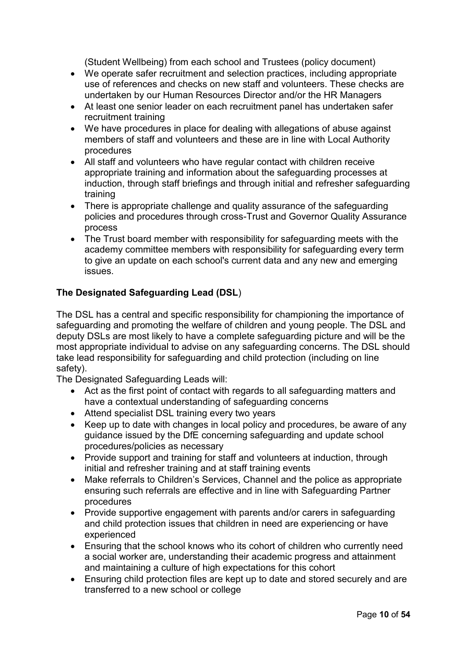(Student Wellbeing) from each school and Trustees (policy document)

- We operate safer recruitment and selection practices, including appropriate use of references and checks on new staff and volunteers. These checks are undertaken by our Human Resources Director and/or the HR Managers
- At least one senior leader on each recruitment panel has undertaken safer recruitment training
- We have procedures in place for dealing with allegations of abuse against members of staff and volunteers and these are in line with Local Authority procedures
- All staff and volunteers who have regular contact with children receive appropriate training and information about the safeguarding processes at induction, through staff briefings and through initial and refresher safeguarding training
- There is appropriate challenge and quality assurance of the safeguarding policies and procedures through cross-Trust and Governor Quality Assurance process
- The Trust board member with responsibility for safeguarding meets with the academy committee members with responsibility for safeguarding every term to give an update on each school's current data and any new and emerging issues.

## **The Designated Safeguarding Lead (DSL**)

The DSL has a central and specific responsibility for championing the importance of safeguarding and promoting the welfare of children and young people. The DSL and deputy DSLs are most likely to have a complete safeguarding picture and will be the most appropriate individual to advise on any safeguarding concerns. The DSL should take lead responsibility for safeguarding and child protection (including on line safety).

The Designated Safeguarding Leads will:

- Act as the first point of contact with regards to all safeguarding matters and have a contextual understanding of safeguarding concerns
- Attend specialist DSL training every two years
- Keep up to date with changes in local policy and procedures, be aware of any guidance issued by the DfE concerning safeguarding and update school procedures/policies as necessary
- Provide support and training for staff and volunteers at induction, through initial and refresher training and at staff training events
- Make referrals to Children's Services, Channel and the police as appropriate ensuring such referrals are effective and in line with Safeguarding Partner procedures
- Provide supportive engagement with parents and/or carers in safeguarding and child protection issues that children in need are experiencing or have experienced
- Ensuring that the school knows who its cohort of children who currently need a social worker are, understanding their academic progress and attainment and maintaining a culture of high expectations for this cohort
- Ensuring child protection files are kept up to date and stored securely and are transferred to a new school or college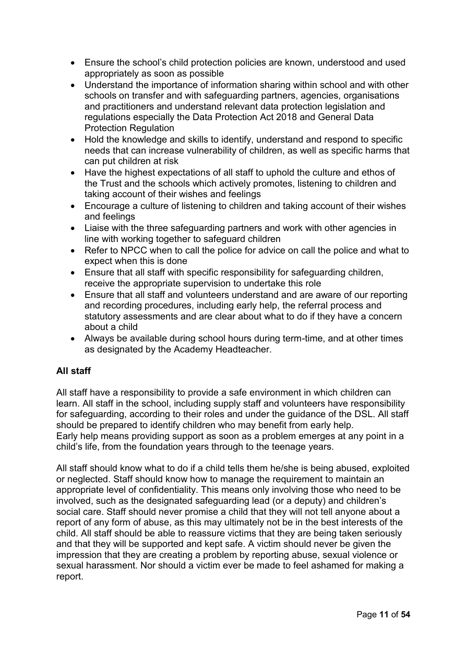- Ensure the school's child protection policies are known, understood and used appropriately as soon as possible
- Understand the importance of information sharing within school and with other schools on transfer and with safeguarding partners, agencies, organisations and practitioners and understand relevant data protection legislation and regulations especially the Data Protection Act 2018 and General Data Protection Regulation
- Hold the knowledge and skills to identify, understand and respond to specific needs that can increase vulnerability of children, as well as specific harms that can put children at risk
- Have the highest expectations of all staff to uphold the culture and ethos of the Trust and the schools which actively promotes, listening to children and taking account of their wishes and feelings
- Encourage a culture of listening to children and taking account of their wishes and feelings
- Liaise with the three safeguarding partners and work with other agencies in line with working together to safeguard children
- Refer to NPCC when to call the police for advice on call the police and what to expect when this is done
- Ensure that all staff with specific responsibility for safeguarding children, receive the appropriate supervision to undertake this role
- Ensure that all staff and volunteers understand and are aware of our reporting and recording procedures, including early help, the referral process and statutory assessments and are clear about what to do if they have a concern about a child
- Always be available during school hours during term-time, and at other times as designated by the Academy Headteacher.

## **All staff**

All staff have a responsibility to provide a safe environment in which children can learn. All staff in the school, including supply staff and volunteers have responsibility for safeguarding, according to their roles and under the guidance of the DSL. All staff should be prepared to identify children who may benefit from early help. Early help means providing support as soon as a problem emerges at any point in a child's life, from the foundation years through to the teenage years.

All staff should know what to do if a child tells them he/she is being abused, exploited or neglected. Staff should know how to manage the requirement to maintain an appropriate level of confidentiality. This means only involving those who need to be involved, such as the designated safeguarding lead (or a deputy) and children's social care. Staff should never promise a child that they will not tell anyone about a report of any form of abuse, as this may ultimately not be in the best interests of the child. All staff should be able to reassure victims that they are being taken seriously and that they will be supported and kept safe. A victim should never be given the impression that they are creating a problem by reporting abuse, sexual violence or sexual harassment. Nor should a victim ever be made to feel ashamed for making a report.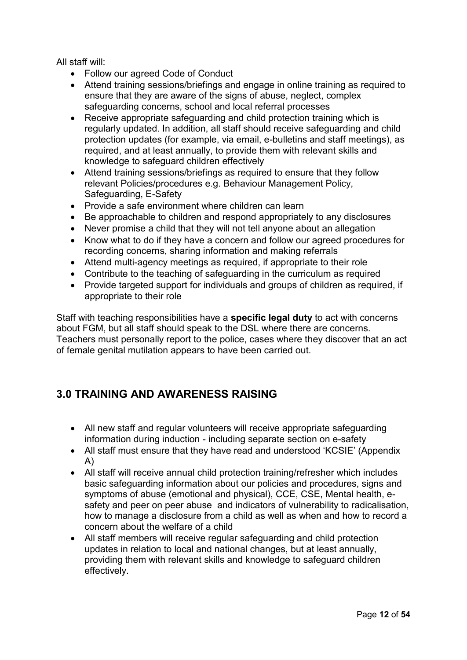All staff will:

- Follow our agreed Code of Conduct
- Attend training sessions/briefings and engage in online training as required to ensure that they are aware of the signs of abuse, neglect, complex safeguarding concerns, school and local referral processes
- Receive appropriate safeguarding and child protection training which is regularly updated. In addition, all staff should receive safeguarding and child protection updates (for example, via email, e-bulletins and staff meetings), as required, and at least annually, to provide them with relevant skills and knowledge to safeguard children effectively
- Attend training sessions/briefings as required to ensure that they follow relevant Policies/procedures e.g. Behaviour Management Policy, Safeguarding, E-Safety
- Provide a safe environment where children can learn
- Be approachable to children and respond appropriately to any disclosures
- Never promise a child that they will not tell anyone about an allegation
- Know what to do if they have a concern and follow our agreed procedures for recording concerns, sharing information and making referrals
- Attend multi-agency meetings as required, if appropriate to their role
- Contribute to the teaching of safeguarding in the curriculum as required
- Provide targeted support for individuals and groups of children as required, if appropriate to their role

Staff with teaching responsibilities have a **specific legal duty** to act with concerns about FGM, but all staff should speak to the DSL where there are concerns. Teachers must personally report to the police, cases where they discover that an act of female genital mutilation appears to have been carried out.

# **3.0 TRAINING AND AWARENESS RAISING**

- All new staff and regular volunteers will receive appropriate safeguarding information during induction - including separate section on e-safety
- All staff must ensure that they have read and understood 'KCSIE' (Appendix A)
- All staff will receive annual child protection training/refresher which includes basic safeguarding information about our policies and procedures, signs and symptoms of abuse (emotional and physical), CCE, CSE, Mental health, esafety and peer on peer abuse and indicators of vulnerability to radicalisation, how to manage a disclosure from a child as well as when and how to record a concern about the welfare of a child
- All staff members will receive regular safeguarding and child protection updates in relation to local and national changes, but at least annually, providing them with relevant skills and knowledge to safeguard children effectively.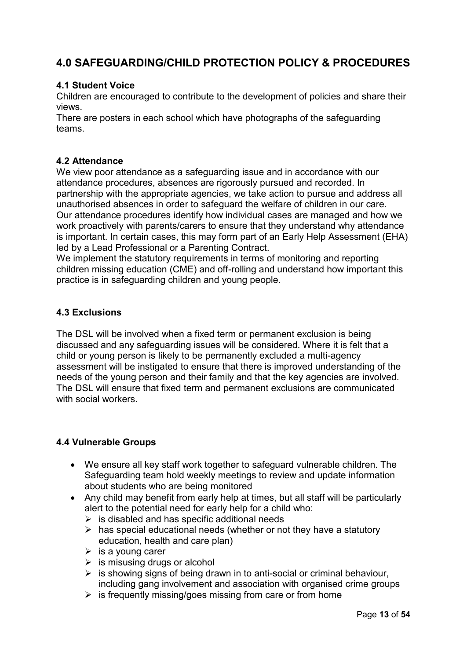# **4.0 SAFEGUARDING/CHILD PROTECTION POLICY & PROCEDURES**

## **4.1 Student Voice**

Children are encouraged to contribute to the development of policies and share their views.

There are posters in each school which have photographs of the safeguarding teams.

## **4.2 Attendance**

We view poor attendance as a safeguarding issue and in accordance with our attendance procedures, absences are rigorously pursued and recorded. In partnership with the appropriate agencies, we take action to pursue and address all unauthorised absences in order to safeguard the welfare of children in our care. Our attendance procedures identify how individual cases are managed and how we work proactively with parents/carers to ensure that they understand why attendance is important. In certain cases, this may form part of an Early Help Assessment (EHA) led by a Lead Professional or a Parenting Contract.

We implement the statutory requirements in terms of monitoring and reporting children missing education (CME) and off-rolling and understand how important this practice is in safeguarding children and young people.

## **4.3 Exclusions**

The DSL will be involved when a fixed term or permanent exclusion is being discussed and any safeguarding issues will be considered. Where it is felt that a child or young person is likely to be permanently excluded a multi-agency assessment will be instigated to ensure that there is improved understanding of the needs of the young person and their family and that the key agencies are involved. The DSL will ensure that fixed term and permanent exclusions are communicated with social workers.

## **4.4 Vulnerable Groups**

- We ensure all key staff work together to safeguard vulnerable children. The Safeguarding team hold weekly meetings to review and update information about students who are being monitored
- Any child may benefit from early help at times, but all staff will be particularly alert to the potential need for early help for a child who:
	- $\triangleright$  is disabled and has specific additional needs
	- $\triangleright$  has special educational needs (whether or not they have a statutory education, health and care plan)
	- $\triangleright$  is a young carer
	- $\triangleright$  is misusing drugs or alcohol
	- $\triangleright$  is showing signs of being drawn in to anti-social or criminal behaviour, including gang involvement and association with organised crime groups
	- $\triangleright$  is frequently missing/goes missing from care or from home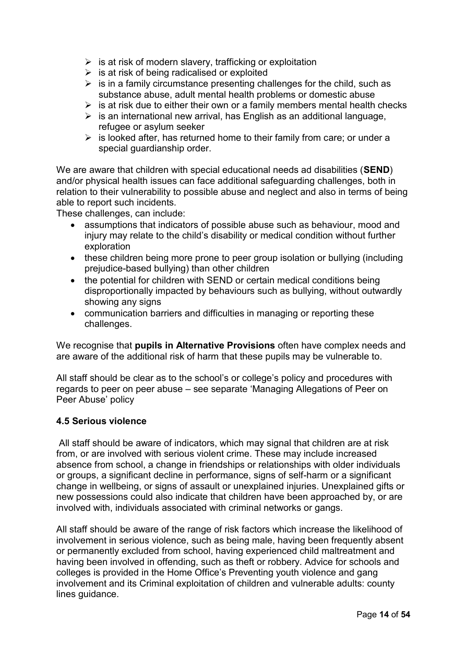- $\triangleright$  is at risk of modern slavery, trafficking or exploitation
- $\triangleright$  is at risk of being radicalised or exploited
- $\triangleright$  is in a family circumstance presenting challenges for the child, such as substance abuse, adult mental health problems or domestic abuse
- $\triangleright$  is at risk due to either their own or a family members mental health checks
- $\triangleright$  is an international new arrival, has English as an additional language, refugee or asylum seeker
- $\triangleright$  is looked after, has returned home to their family from care; or under a special guardianship order.

We are aware that children with special educational needs ad disabilities (**SEND**) and/or physical health issues can face additional safeguarding challenges, both in relation to their vulnerability to possible abuse and neglect and also in terms of being able to report such incidents.

These challenges, can include:

- assumptions that indicators of possible abuse such as behaviour, mood and injury may relate to the child's disability or medical condition without further exploration
- these children being more prone to peer group isolation or bullying (including prejudice-based bullying) than other children
- the potential for children with SEND or certain medical conditions being disproportionally impacted by behaviours such as bullying, without outwardly showing any signs
- communication barriers and difficulties in managing or reporting these challenges.

We recognise that **pupils in Alternative Provisions** often have complex needs and are aware of the additional risk of harm that these pupils may be vulnerable to.

All staff should be clear as to the school's or college's policy and procedures with regards to peer on peer abuse – see separate 'Managing Allegations of Peer on Peer Abuse' policy

## **4.5 Serious violence**

All staff should be aware of indicators, which may signal that children are at risk from, or are involved with serious violent crime. These may include increased absence from school, a change in friendships or relationships with older individuals or groups, a significant decline in performance, signs of self-harm or a significant change in wellbeing, or signs of assault or unexplained injuries. Unexplained gifts or new possessions could also indicate that children have been approached by, or are involved with, individuals associated with criminal networks or gangs.

All staff should be aware of the range of risk factors which increase the likelihood of involvement in serious violence, such as being male, having been frequently absent or permanently excluded from school, having experienced child maltreatment and having been involved in offending, such as theft or robbery. Advice for schools and colleges is provided in the Home Office's Preventing youth violence and gang involvement and its Criminal exploitation of children and vulnerable adults: county lines guidance.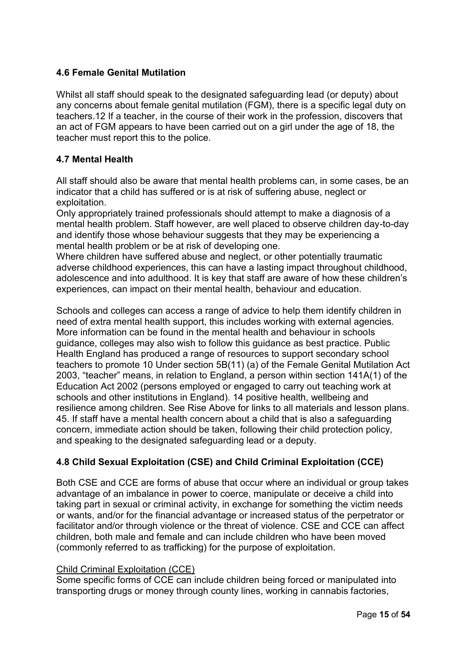## **4.6 Female Genital Mutilation**

Whilst all staff should speak to the designated safeguarding lead (or deputy) about any concerns about female genital mutilation (FGM), there is a specific legal duty on teachers.12 If a teacher, in the course of their work in the profession, discovers that an act of FGM appears to have been carried out on a girl under the age of 18, the teacher must report this to the police.

## **4.7 Mental Health**

All staff should also be aware that mental health problems can, in some cases, be an indicator that a child has suffered or is at risk of suffering abuse, neglect or exploitation.

Only appropriately trained professionals should attempt to make a diagnosis of a mental health problem. Staff however, are well placed to observe children day-to-day and identify those whose behaviour suggests that they may be experiencing a mental health problem or be at risk of developing one.

Where children have suffered abuse and neglect, or other potentially traumatic adverse childhood experiences, this can have a lasting impact throughout childhood, adolescence and into adulthood. It is key that staff are aware of how these children's experiences, can impact on their mental health, behaviour and education.

Schools and colleges can access a range of advice to help them identify children in need of extra mental health support, this includes working with external agencies. More information can be found in the mental health and behaviour in schools guidance, colleges may also wish to follow this guidance as best practice. Public Health England has produced a range of resources to support secondary school teachers to promote 10 Under section 5B(11) (a) of the Female Genital Mutilation Act 2003, "teacher" means, in relation to England, a person within section 141A(1) of the Education Act 2002 (persons employed or engaged to carry out teaching work at schools and other institutions in England). 14 positive health, wellbeing and resilience among children. See Rise Above for links to all materials and lesson plans. 45. If staff have a mental health concern about a child that is also a safeguarding concern, immediate action should be taken, following their child protection policy, and speaking to the designated safeguarding lead or a deputy.

## **4.8 Child Sexual Exploitation (CSE) and Child Criminal Exploitation (CCE)**

Both CSE and CCE are forms of abuse that occur where an individual or group takes advantage of an imbalance in power to coerce, manipulate or deceive a child into taking part in sexual or criminal activity, in exchange for something the victim needs or wants, and/or for the financial advantage or increased status of the perpetrator or facilitator and/or through violence or the threat of violence. CSE and CCE can affect children, both male and female and can include children who have been moved (commonly referred to as trafficking) for the purpose of exploitation.

#### Child Criminal Exploitation (CCE)

Some specific forms of CCE can include children being forced or manipulated into transporting drugs or money through county lines, working in cannabis factories,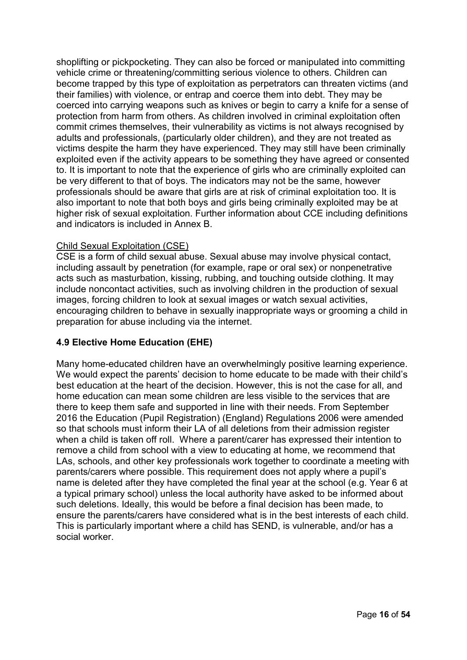shoplifting or pickpocketing. They can also be forced or manipulated into committing vehicle crime or threatening/committing serious violence to others. Children can become trapped by this type of exploitation as perpetrators can threaten victims (and their families) with violence, or entrap and coerce them into debt. They may be coerced into carrying weapons such as knives or begin to carry a knife for a sense of protection from harm from others. As children involved in criminal exploitation often commit crimes themselves, their vulnerability as victims is not always recognised by adults and professionals, (particularly older children), and they are not treated as victims despite the harm they have experienced. They may still have been criminally exploited even if the activity appears to be something they have agreed or consented to. It is important to note that the experience of girls who are criminally exploited can be very different to that of boys. The indicators may not be the same, however professionals should be aware that girls are at risk of criminal exploitation too. It is also important to note that both boys and girls being criminally exploited may be at higher risk of sexual exploitation. Further information about CCE including definitions and indicators is included in Annex B.

## Child Sexual Exploitation (CSE)

CSE is a form of child sexual abuse. Sexual abuse may involve physical contact, including assault by penetration (for example, rape or oral sex) or nonpenetrative acts such as masturbation, kissing, rubbing, and touching outside clothing. It may include noncontact activities, such as involving children in the production of sexual images, forcing children to look at sexual images or watch sexual activities, encouraging children to behave in sexually inappropriate ways or grooming a child in preparation for abuse including via the internet.

## **4.9 Elective Home Education (EHE)**

Many home-educated children have an overwhelmingly positive learning experience. We would expect the parents' decision to home educate to be made with their child's best education at the heart of the decision. However, this is not the case for all, and home education can mean some children are less visible to the services that are there to keep them safe and supported in line with their needs. From September 2016 the Education (Pupil Registration) (England) Regulations 2006 were amended so that schools must inform their LA of all deletions from their admission register when a child is taken off roll. Where a parent/carer has expressed their intention to remove a child from school with a view to educating at home, we recommend that LAs, schools, and other key professionals work together to coordinate a meeting with parents/carers where possible. This requirement does not apply where a pupil's name is deleted after they have completed the final year at the school (e.g. Year 6 at a typical primary school) unless the local authority have asked to be informed about such deletions. Ideally, this would be before a final decision has been made, to ensure the parents/carers have considered what is in the best interests of each child. This is particularly important where a child has SEND, is vulnerable, and/or has a social worker.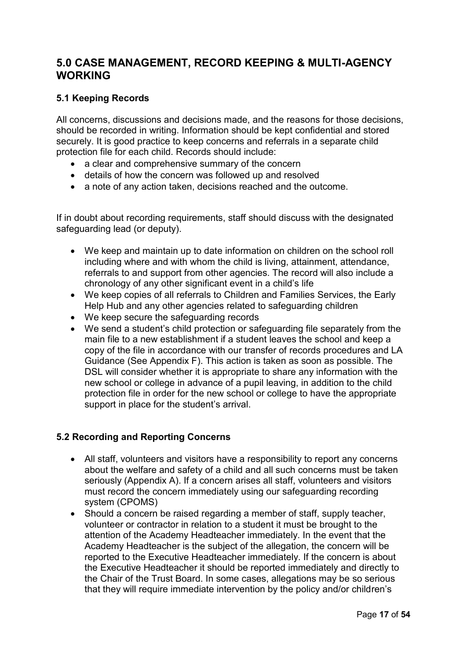# **5.0 CASE MANAGEMENT, RECORD KEEPING & MULTI-AGENCY WORKING**

## **5.1 Keeping Records**

All concerns, discussions and decisions made, and the reasons for those decisions, should be recorded in writing. Information should be kept confidential and stored securely. It is good practice to keep concerns and referrals in a separate child protection file for each child. Records should include:

- a clear and comprehensive summary of the concern
- details of how the concern was followed up and resolved
- a note of any action taken, decisions reached and the outcome.

If in doubt about recording requirements, staff should discuss with the designated safeguarding lead (or deputy).

- We keep and maintain up to date information on children on the school roll including where and with whom the child is living, attainment, attendance, referrals to and support from other agencies. The record will also include a chronology of any other significant event in a child's life
- We keep copies of all referrals to Children and Families Services, the Early Help Hub and any other agencies related to safeguarding children
- We keep secure the safeguarding records
- We send a student's child protection or safeguarding file separately from the main file to a new establishment if a student leaves the school and keep a copy of the file in accordance with our transfer of records procedures and LA Guidance (See Appendix F). This action is taken as soon as possible. The DSL will consider whether it is appropriate to share any information with the new school or college in advance of a pupil leaving, in addition to the child protection file in order for the new school or college to have the appropriate support in place for the student's arrival.

## **5.2 Recording and Reporting Concerns**

- All staff, volunteers and visitors have a responsibility to report any concerns about the welfare and safety of a child and all such concerns must be taken seriously (Appendix A). If a concern arises all staff, volunteers and visitors must record the concern immediately using our safeguarding recording system (CPOMS)
- Should a concern be raised regarding a member of staff, supply teacher, volunteer or contractor in relation to a student it must be brought to the attention of the Academy Headteacher immediately. In the event that the Academy Headteacher is the subject of the allegation, the concern will be reported to the Executive Headteacher immediately. If the concern is about the Executive Headteacher it should be reported immediately and directly to the Chair of the Trust Board. In some cases, allegations may be so serious that they will require immediate intervention by the policy and/or children's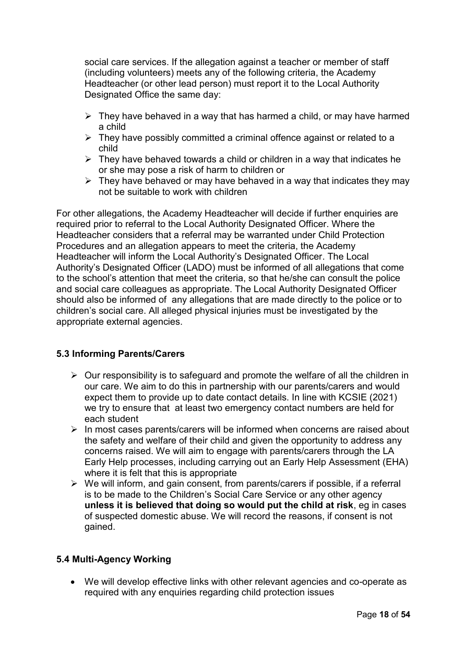social care services. If the allegation against a teacher or member of staff (including volunteers) meets any of the following criteria, the Academy Headteacher (or other lead person) must report it to the Local Authority Designated Office the same day:

- $\triangleright$  They have behaved in a way that has harmed a child, or may have harmed a child
- $\triangleright$  They have possibly committed a criminal offence against or related to a child
- $\triangleright$  They have behaved towards a child or children in a way that indicates he or she may pose a risk of harm to children or
- $\triangleright$  They have behaved or may have behaved in a way that indicates they may not be suitable to work with children

For other allegations, the Academy Headteacher will decide if further enquiries are required prior to referral to the Local Authority Designated Officer. Where the Headteacher considers that a referral may be warranted under Child Protection Procedures and an allegation appears to meet the criteria, the Academy Headteacher will inform the Local Authority's Designated Officer. The Local Authority's Designated Officer (LADO) must be informed of all allegations that come to the school's attention that meet the criteria, so that he/she can consult the police and social care colleagues as appropriate. The Local Authority Designated Officer should also be informed of any allegations that are made directly to the police or to children's social care. All alleged physical injuries must be investigated by the appropriate external agencies.

## **5.3 Informing Parents/Carers**

- $\triangleright$  Our responsibility is to safeguard and promote the welfare of all the children in our care. We aim to do this in partnership with our parents/carers and would expect them to provide up to date contact details. In line with KCSIE (2021) we try to ensure that at least two emergency contact numbers are held for each student
- ➢ In most cases parents/carers will be informed when concerns are raised about the safety and welfare of their child and given the opportunity to address any concerns raised. We will aim to engage with parents/carers through the LA Early Help processes, including carrying out an Early Help Assessment (EHA) where it is felt that this is appropriate
- $\triangleright$  We will inform, and gain consent, from parents/carers if possible, if a referral is to be made to the Children's Social Care Service or any other agency **unless it is believed that doing so would put the child at risk**, eg in cases of suspected domestic abuse. We will record the reasons, if consent is not gained.

## **5.4 Multi-Agency Working**

• We will develop effective links with other relevant agencies and co-operate as required with any enquiries regarding child protection issues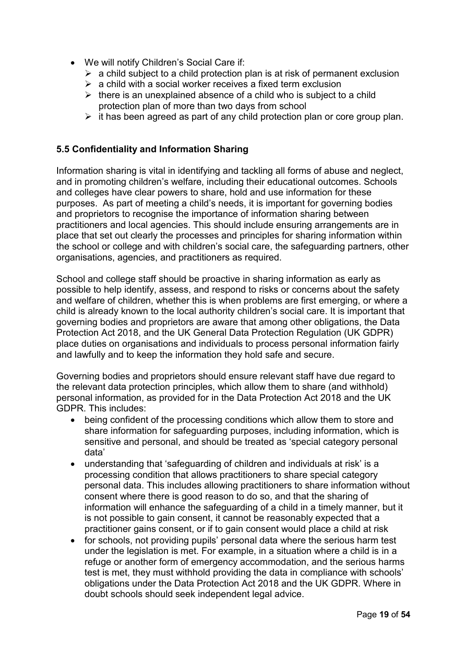- We will notify Children's Social Care if:
	- $\triangleright$  a child subject to a child protection plan is at risk of permanent exclusion
	- $\triangleright$  a child with a social worker receives a fixed term exclusion
	- $\triangleright$  there is an unexplained absence of a child who is subject to a child protection plan of more than two days from school
	- $\triangleright$  it has been agreed as part of any child protection plan or core group plan.

## **5.5 Confidentiality and Information Sharing**

Information sharing is vital in identifying and tackling all forms of abuse and neglect, and in promoting children's welfare, including their educational outcomes. Schools and colleges have clear powers to share, hold and use information for these purposes. As part of meeting a child's needs, it is important for governing bodies and proprietors to recognise the importance of information sharing between practitioners and local agencies. This should include ensuring arrangements are in place that set out clearly the processes and principles for sharing information within the school or college and with children's social care, the safeguarding partners, other organisations, agencies, and practitioners as required.

School and college staff should be proactive in sharing information as early as possible to help identify, assess, and respond to risks or concerns about the safety and welfare of children, whether this is when problems are first emerging, or where a child is already known to the local authority children's social care. It is important that governing bodies and proprietors are aware that among other obligations, the Data Protection Act 2018, and the UK General Data Protection Regulation (UK GDPR) place duties on organisations and individuals to process personal information fairly and lawfully and to keep the information they hold safe and secure.

Governing bodies and proprietors should ensure relevant staff have due regard to the relevant data protection principles, which allow them to share (and withhold) personal information, as provided for in the Data Protection Act 2018 and the UK GDPR. This includes:

- being confident of the processing conditions which allow them to store and share information for safeguarding purposes, including information, which is sensitive and personal, and should be treated as 'special category personal data'
- understanding that 'safeguarding of children and individuals at risk' is a processing condition that allows practitioners to share special category personal data. This includes allowing practitioners to share information without consent where there is good reason to do so, and that the sharing of information will enhance the safeguarding of a child in a timely manner, but it is not possible to gain consent, it cannot be reasonably expected that a practitioner gains consent, or if to gain consent would place a child at risk
- for schools, not providing pupils' personal data where the serious harm test under the legislation is met. For example, in a situation where a child is in a refuge or another form of emergency accommodation, and the serious harms test is met, they must withhold providing the data in compliance with schools' obligations under the Data Protection Act 2018 and the UK GDPR. Where in doubt schools should seek independent legal advice.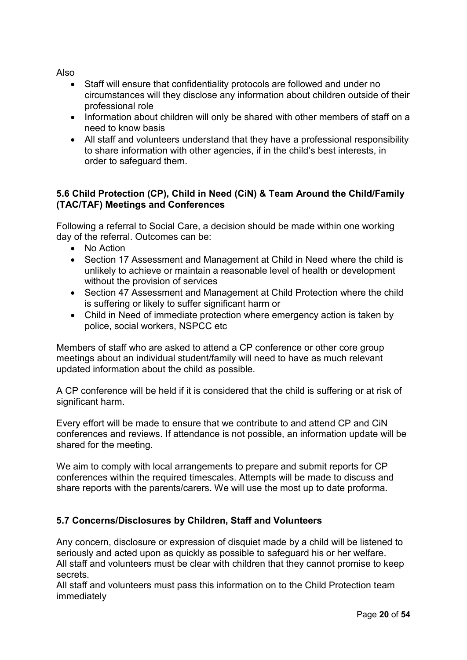Also

- Staff will ensure that confidentiality protocols are followed and under no circumstances will they disclose any information about children outside of their professional role
- Information about children will only be shared with other members of staff on a need to know basis
- All staff and volunteers understand that they have a professional responsibility to share information with other agencies, if in the child's best interests, in order to safeguard them.

## **5.6 Child Protection (CP), Child in Need (CiN) & Team Around the Child/Family (TAC/TAF) Meetings and Conferences**

Following a referral to Social Care, a decision should be made within one working day of the referral. Outcomes can be:

- No Action
- Section 17 Assessment and Management at Child in Need where the child is unlikely to achieve or maintain a reasonable level of health or development without the provision of services
- Section 47 Assessment and Management at Child Protection where the child is suffering or likely to suffer significant harm or
- Child in Need of immediate protection where emergency action is taken by police, social workers, NSPCC etc

Members of staff who are asked to attend a CP conference or other core group meetings about an individual student/family will need to have as much relevant updated information about the child as possible.

A CP conference will be held if it is considered that the child is suffering or at risk of significant harm.

Every effort will be made to ensure that we contribute to and attend CP and CiN conferences and reviews. If attendance is not possible, an information update will be shared for the meeting.

We aim to comply with local arrangements to prepare and submit reports for CP conferences within the required timescales. Attempts will be made to discuss and share reports with the parents/carers. We will use the most up to date proforma.

## **5.7 Concerns/Disclosures by Children, Staff and Volunteers**

Any concern, disclosure or expression of disquiet made by a child will be listened to seriously and acted upon as quickly as possible to safeguard his or her welfare. All staff and volunteers must be clear with children that they cannot promise to keep secrets.

All staff and volunteers must pass this information on to the Child Protection team immediately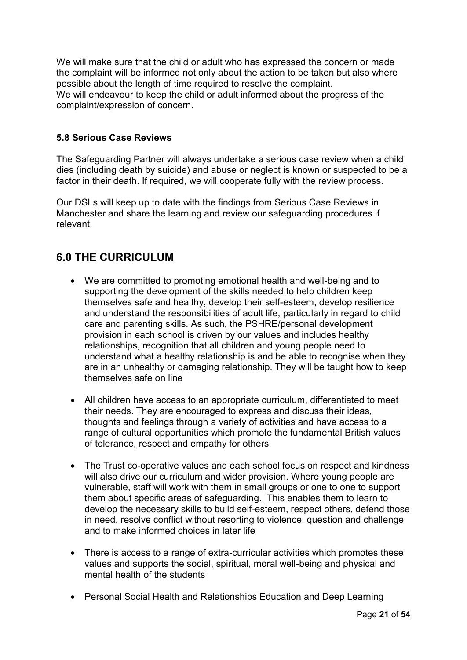We will make sure that the child or adult who has expressed the concern or made the complaint will be informed not only about the action to be taken but also where possible about the length of time required to resolve the complaint. We will endeavour to keep the child or adult informed about the progress of the complaint/expression of concern.

## **5.8 Serious Case Reviews**

The Safeguarding Partner will always undertake a serious case review when a child dies (including death by suicide) and abuse or neglect is known or suspected to be a factor in their death. If required, we will cooperate fully with the review process.

Our DSLs will keep up to date with the findings from Serious Case Reviews in Manchester and share the learning and review our safeguarding procedures if relevant.

# **6.0 THE CURRICULUM**

- We are committed to promoting emotional health and well-being and to supporting the development of the skills needed to help children keep themselves safe and healthy, develop their self-esteem, develop resilience and understand the responsibilities of adult life, particularly in regard to child care and parenting skills. As such, the PSHRE/personal development provision in each school is driven by our values and includes healthy relationships, recognition that all children and young people need to understand what a healthy relationship is and be able to recognise when they are in an unhealthy or damaging relationship. They will be taught how to keep themselves safe on line
- All children have access to an appropriate curriculum, differentiated to meet their needs. They are encouraged to express and discuss their ideas, thoughts and feelings through a variety of activities and have access to a range of cultural opportunities which promote the fundamental British values of tolerance, respect and empathy for others
- The Trust co-operative values and each school focus on respect and kindness will also drive our curriculum and wider provision. Where young people are vulnerable, staff will work with them in small groups or one to one to support them about specific areas of safeguarding. This enables them to learn to develop the necessary skills to build self-esteem, respect others, defend those in need, resolve conflict without resorting to violence, question and challenge and to make informed choices in later life
- There is access to a range of extra-curricular activities which promotes these values and supports the social, spiritual, moral well-being and physical and mental health of the students
- Personal Social Health and Relationships Education and Deep Learning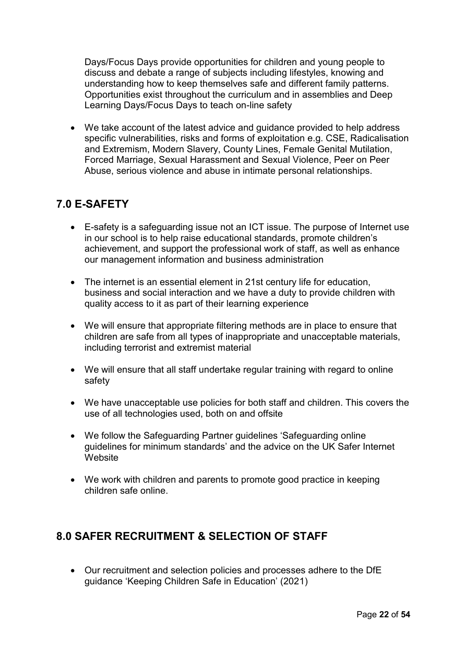Days/Focus Days provide opportunities for children and young people to discuss and debate a range of subjects including lifestyles, knowing and understanding how to keep themselves safe and different family patterns. Opportunities exist throughout the curriculum and in assemblies and Deep Learning Days/Focus Days to teach on-line safety

• We take account of the latest advice and guidance provided to help address specific vulnerabilities, risks and forms of exploitation e.g. CSE, Radicalisation and Extremism, Modern Slavery, County Lines, Female Genital Mutilation, Forced Marriage, Sexual Harassment and Sexual Violence, Peer on Peer Abuse, serious violence and abuse in intimate personal relationships.

# **7.0 E-SAFETY**

- E-safety is a safeguarding issue not an ICT issue. The purpose of Internet use in our school is to help raise educational standards, promote children's achievement, and support the professional work of staff, as well as enhance our management information and business administration
- The internet is an essential element in 21st century life for education, business and social interaction and we have a duty to provide children with quality access to it as part of their learning experience
- We will ensure that appropriate filtering methods are in place to ensure that children are safe from all types of inappropriate and unacceptable materials, including terrorist and extremist material
- We will ensure that all staff undertake regular training with regard to online safety
- We have unacceptable use policies for both staff and children. This covers the use of all technologies used, both on and offsite
- We follow the Safeguarding Partner guidelines 'Safeguarding online guidelines for minimum standards' and the advice on the UK Safer Internet **Website**
- We work with children and parents to promote good practice in keeping children safe online.

# **8.0 SAFER RECRUITMENT & SELECTION OF STAFF**

• Our recruitment and selection policies and processes adhere to the DfE guidance 'Keeping Children Safe in Education' (2021)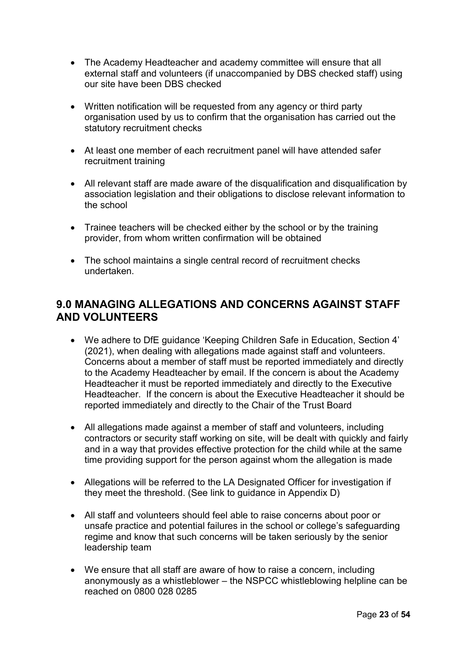- The Academy Headteacher and academy committee will ensure that all external staff and volunteers (if unaccompanied by DBS checked staff) using our site have been DBS checked
- Written notification will be requested from any agency or third party organisation used by us to confirm that the organisation has carried out the statutory recruitment checks
- At least one member of each recruitment panel will have attended safer recruitment training
- All relevant staff are made aware of the disqualification and disqualification by association legislation and their obligations to disclose relevant information to the school
- Trainee teachers will be checked either by the school or by the training provider, from whom written confirmation will be obtained
- The school maintains a single central record of recruitment checks undertaken.

# **9.0 MANAGING ALLEGATIONS AND CONCERNS AGAINST STAFF AND VOLUNTEERS**

- We adhere to DfE guidance 'Keeping Children Safe in Education, Section 4' (2021), when dealing with allegations made against staff and volunteers. Concerns about a member of staff must be reported immediately and directly to the Academy Headteacher by email. If the concern is about the Academy Headteacher it must be reported immediately and directly to the Executive Headteacher. If the concern is about the Executive Headteacher it should be reported immediately and directly to the Chair of the Trust Board
- All allegations made against a member of staff and volunteers, including contractors or security staff working on site, will be dealt with quickly and fairly and in a way that provides effective protection for the child while at the same time providing support for the person against whom the allegation is made
- Allegations will be referred to the LA Designated Officer for investigation if they meet the threshold. (See link to guidance in Appendix D)
- All staff and volunteers should feel able to raise concerns about poor or unsafe practice and potential failures in the school or college's safeguarding regime and know that such concerns will be taken seriously by the senior leadership team
- We ensure that all staff are aware of how to raise a concern, including anonymously as a whistleblower – the NSPCC whistleblowing helpline can be reached on 0800 028 0285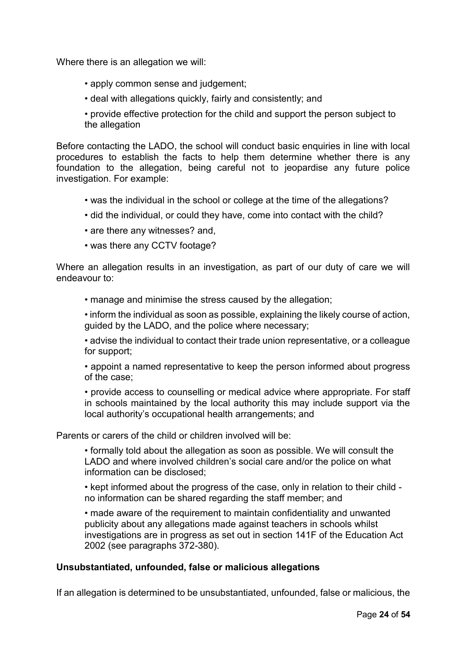Where there is an allegation we will:

- apply common sense and judgement;
- deal with allegations quickly, fairly and consistently; and

• provide effective protection for the child and support the person subject to the allegation

Before contacting the LADO, the school will conduct basic enquiries in line with local procedures to establish the facts to help them determine whether there is any foundation to the allegation, being careful not to jeopardise any future police investigation. For example:

- was the individual in the school or college at the time of the allegations?
- did the individual, or could they have, come into contact with the child?
- are there any witnesses? and,
- was there any CCTV footage?

Where an allegation results in an investigation, as part of our duty of care we will endeavour to:

• manage and minimise the stress caused by the allegation;

• inform the individual as soon as possible, explaining the likely course of action, guided by the LADO, and the police where necessary;

• advise the individual to contact their trade union representative, or a colleague for support;

• appoint a named representative to keep the person informed about progress of the case;

• provide access to counselling or medical advice where appropriate. For staff in schools maintained by the local authority this may include support via the local authority's occupational health arrangements; and

Parents or carers of the child or children involved will be:

• formally told about the allegation as soon as possible. We will consult the LADO and where involved children's social care and/or the police on what information can be disclosed;

• kept informed about the progress of the case, only in relation to their child no information can be shared regarding the staff member; and

• made aware of the requirement to maintain confidentiality and unwanted publicity about any allegations made against teachers in schools whilst investigations are in progress as set out in section 141F of the Education Act 2002 (see paragraphs 372-380).

## **Unsubstantiated, unfounded, false or malicious allegations**

If an allegation is determined to be unsubstantiated, unfounded, false or malicious, the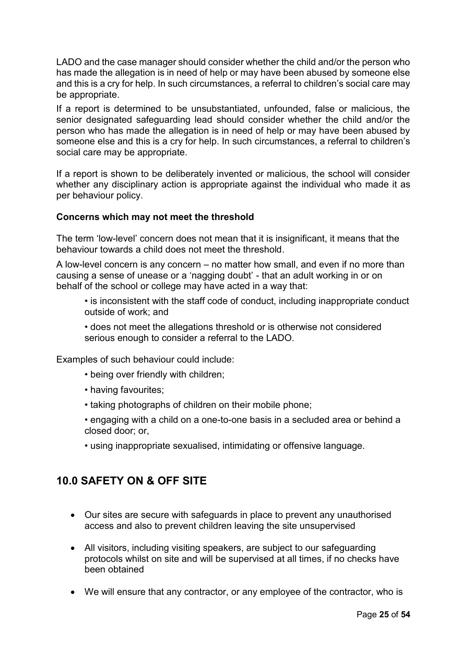LADO and the case manager should consider whether the child and/or the person who has made the allegation is in need of help or may have been abused by someone else and this is a cry for help. In such circumstances, a referral to children's social care may be appropriate.

If a report is determined to be unsubstantiated, unfounded, false or malicious, the senior designated safeguarding lead should consider whether the child and/or the person who has made the allegation is in need of help or may have been abused by someone else and this is a cry for help. In such circumstances, a referral to children's social care may be appropriate.

If a report is shown to be deliberately invented or malicious, the school will consider whether any disciplinary action is appropriate against the individual who made it as per behaviour policy.

## **Concerns which may not meet the threshold**

The term 'low-level' concern does not mean that it is insignificant, it means that the behaviour towards a child does not meet the threshold.

A low-level concern is any concern – no matter how small, and even if no more than causing a sense of unease or a 'nagging doubt' - that an adult working in or on behalf of the school or college may have acted in a way that:

- is inconsistent with the staff code of conduct, including inappropriate conduct outside of work; and
- does not meet the allegations threshold or is otherwise not considered serious enough to consider a referral to the LADO.

Examples of such behaviour could include:

- being over friendly with children;
- having favourites;
- taking photographs of children on their mobile phone;
- engaging with a child on a one-to-one basis in a secluded area or behind a closed door; or,
- using inappropriate sexualised, intimidating or offensive language.

# **10.0 SAFETY ON & OFF SITE**

- Our sites are secure with safeguards in place to prevent any unauthorised access and also to prevent children leaving the site unsupervised
- All visitors, including visiting speakers, are subject to our safeguarding protocols whilst on site and will be supervised at all times, if no checks have been obtained
- We will ensure that any contractor, or any employee of the contractor, who is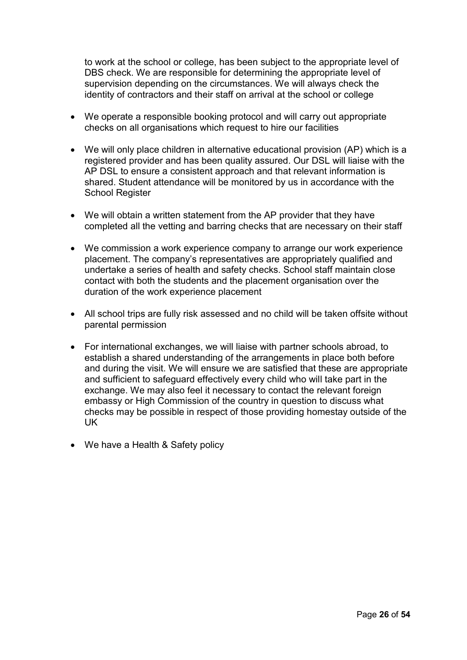to work at the school or college, has been subject to the appropriate level of DBS check. We are responsible for determining the appropriate level of supervision depending on the circumstances. We will always check the identity of contractors and their staff on arrival at the school or college

- We operate a responsible booking protocol and will carry out appropriate checks on all organisations which request to hire our facilities
- We will only place children in alternative educational provision (AP) which is a registered provider and has been quality assured. Our DSL will liaise with the AP DSL to ensure a consistent approach and that relevant information is shared. Student attendance will be monitored by us in accordance with the School Register
- We will obtain a written statement from the AP provider that they have completed all the vetting and barring checks that are necessary on their staff
- We commission a work experience company to arrange our work experience placement. The company's representatives are appropriately qualified and undertake a series of health and safety checks. School staff maintain close contact with both the students and the placement organisation over the duration of the work experience placement
- All school trips are fully risk assessed and no child will be taken offsite without parental permission
- For international exchanges, we will liaise with partner schools abroad, to establish a shared understanding of the arrangements in place both before and during the visit. We will ensure we are satisfied that these are appropriate and sufficient to safeguard effectively every child who will take part in the exchange. We may also feel it necessary to contact the relevant foreign embassy or High Commission of the country in question to discuss what checks may be possible in respect of those providing homestay outside of the UK
- We have a Health & Safety policy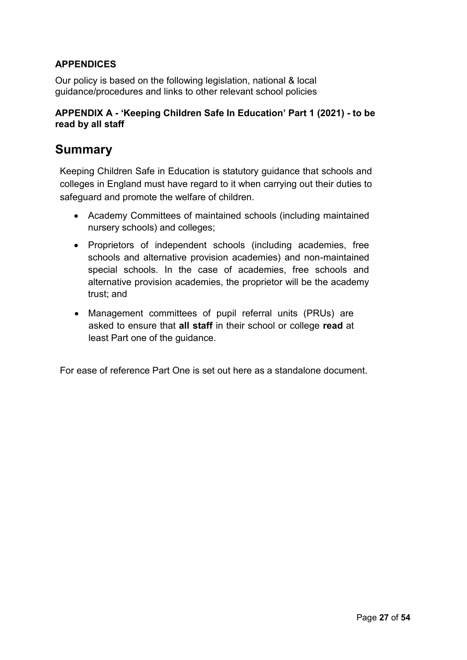## **APPENDICES**

Our policy is based on the following legislation, national & local guidance/procedures and links to other relevant school policies

## **APPENDIX A - 'Keeping Children Safe In Education' Part 1 (2021) - to be read by all staff**

# **Summary**

Keeping Children Safe in Education is statutory guidance that schools and colleges in England must have regard to it when carrying out their duties to safeguard and promote the welfare of children.

- Academy Committees of maintained schools (including maintained nursery schools) and colleges;
- Proprietors of independent schools (including academies, free schools and alternative provision academies) and non-maintained special schools. In the case of academies, free schools and alternative provision academies, the proprietor will be the academy trust; and
- Management committees of pupil referral units (PRUs) are asked to ensure that **all staff** in their school or college **read** at least Part one of the guidance.

For ease of reference Part One is set out here as a standalone document.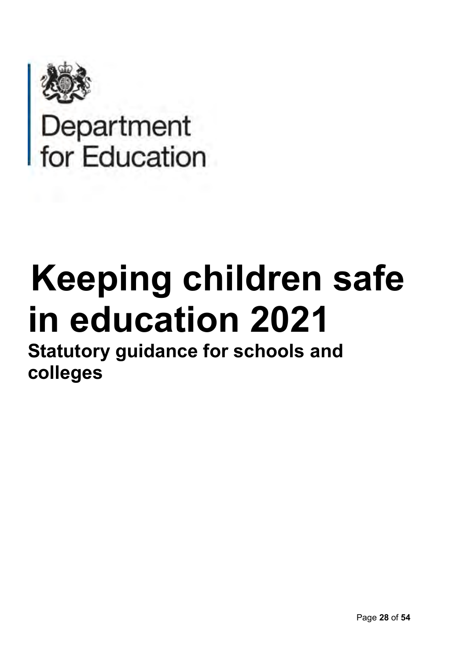

Department<br>for Education

# **Keeping children safe in education 2021**

**Statutory guidance for schools and colleges**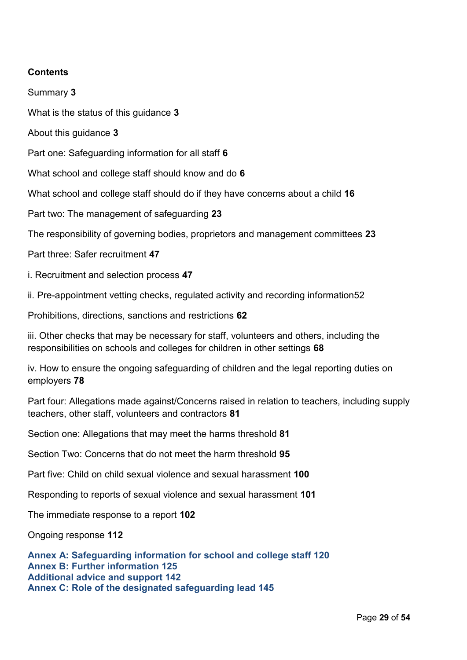## **Contents**

Summary **3** 

What is the status of this guidance **3**

About this guidance **3**

Part one: Safeguarding information for all staff **6**

What school and college staff should know and do **6** 

What school and college staff should do if they have concerns about a child **16**

Part two: The management of safeguarding **23**

The responsibility of governing bodies, proprietors and management committees **23** 

Part three: Safer recruitment **47**

i. Recruitment and selection process **47** 

ii. Pre-appointment vetting checks, regulated activity and recording information52

Prohibitions, directions, sanctions and restrictions **62**

iii. Other checks that may be necessary for staff, volunteers and others, including the responsibilities on schools and colleges for children in other settings **68**

iv. How to ensure the ongoing safeguarding of children and the legal reporting duties on employers **78** 

Part four: Allegations made against/Concerns raised in relation to teachers, including supply teachers, other staff, volunteers and contractors **81** 

Section one: Allegations that may meet the harms threshold **81**

Section Two: Concerns that do not meet the harm threshold **95** 

Part five: Child on child sexual violence and sexual harassment **100** 

Responding to reports of sexual violence and sexual harassment **101** 

The immediate response to a report **102**

Ongoing response **112**

**Annex A: Safeguarding information for school and college staff 120 Annex B: Further information 125 Additional advice and support 142 Annex C: Role of the designated safeguarding lead 145**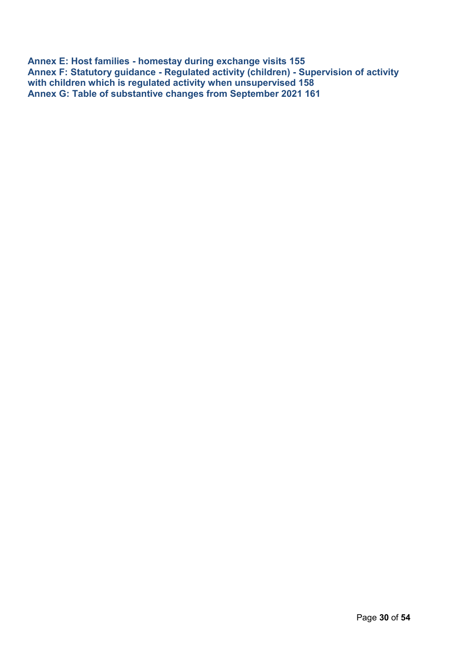**Annex E: Host families - homestay during exchange visits 155 Annex F: Statutory guidance - Regulated activity (children) - Supervision of activity with children which is regulated activity when unsupervised 158 Annex G: Table of substantive changes from September 2021 161**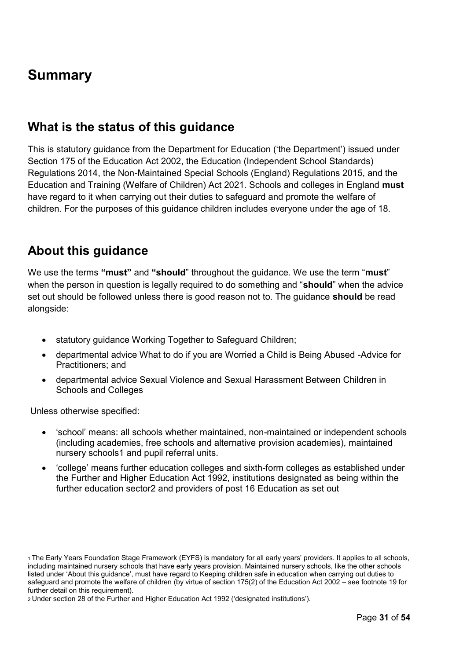# **Summary**

# **What is the status of this guidance**

This is statutory guidance from the Department for Education ('the Department') issued under Section 175 of the Education Act 2002, the Education (Independent School Standards) Regulations 2014, the Non-Maintained Special Schools (England) Regulations 2015, and the Education and Training (Welfare of Children) Act 2021. Schools and colleges in England **must**  have regard to it when carrying out their duties to safeguard and promote the welfare of children. For the purposes of this guidance children includes everyone under the age of 18.

# **About this guidance**

We use the terms **"must"** and **"should**" throughout the guidance. We use the term "**must**" when the person in question is legally required to do something and "**should**" when the advice set out should be followed unless there is good reason not to. The guidance **should** be read alongside:

- statutory guidance Working Together to Safeguard Children;
- departmental advice What to do if you are Worried a Child is Being Abused -Advice for Practitioners; and
- departmental advice Sexual Violence and Sexual Harassment Between Children in Schools and Colleges

Unless otherwise specified:

- 'school' means: all schools whether maintained, non-maintained or independent schools (including academies, free schools and alternative provision academies), maintained nursery schools1 and pupil referral units.
- 'college' means further education colleges and sixth-form colleges as established under the Further and Higher Education Act 1992, institutions designated as being within the further education sector2 and providers of post 16 Education as set out

2 Under section 28 of the Further and Higher Education Act 1992 ('designated institutions').

<sup>1</sup>The Early Years Foundation Stage Framework (EYFS) is mandatory for all early years' providers. It applies to all schools, including maintained nursery schools that have early years provision. Maintained nursery schools, like the other schools listed under 'About this guidance', must have regard to Keeping children safe in education when carrying out duties to safeguard and promote the welfare of children (by virtue of section 175(2) of the Education Act 2002 – see footnote 19 for further detail on this requirement).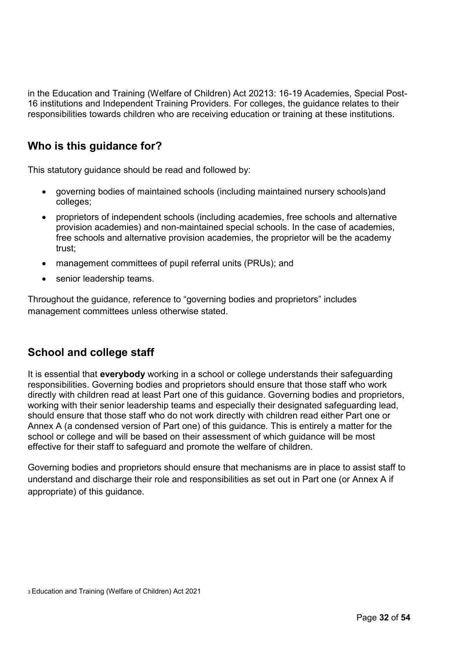in the Education and Training (Welfare of Children) Act 20213: 16-19 Academies, Special Post-16 institutions and Independent Training Providers. For colleges, the guidance relates to their responsibilities towards children who are receiving education or training at these institutions.

# **Who is this guidance for?**

This statutory guidance should be read and followed by:

- governing bodies of maintained schools (including maintained nursery schools)and colleges;
- proprietors of independent schools (including academies, free schools and alternative provision academies) and non-maintained special schools. In the case of academies, free schools and alternative provision academies, the proprietor will be the academy trust;
- management committees of pupil referral units (PRUs); and
- senior leadership teams.

Throughout the guidance, reference to "governing bodies and proprietors" includes management committees unless otherwise stated.

# **School and college staff**

It is essential that **everybody** working in a school or college understands their safeguarding responsibilities. Governing bodies and proprietors should ensure that those staff who work directly with children read at least Part one of this guidance. Governing bodies and proprietors, working with their senior leadership teams and especially their designated safeguarding lead, should ensure that those staff who do not work directly with children read either Part one or Annex A (a condensed version of Part one) of this guidance. This is entirely a matter for the school or college and will be based on their assessment of which guidance will be most effective for their staff to safeguard and promote the welfare of children.

Governing bodies and proprietors should ensure that mechanisms are in place to assist staff to understand and discharge their role and responsibilities as set out in Part one (or Annex A if appropriate) of this guidance.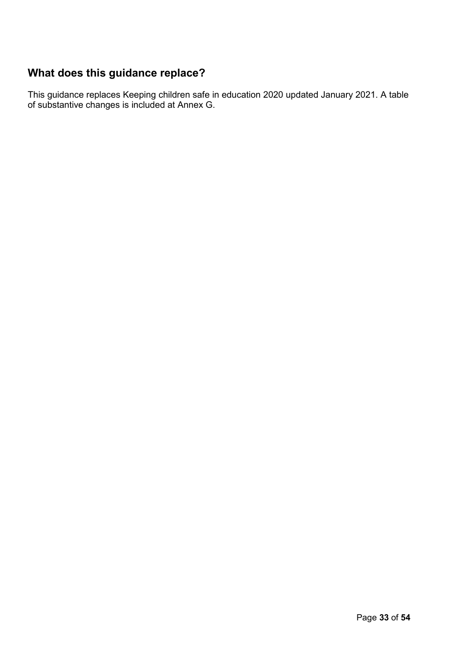# **What does this guidance replace?**

This guidance replaces Keeping children safe in education 2020 updated January 2021. A table of substantive changes is included at Annex G.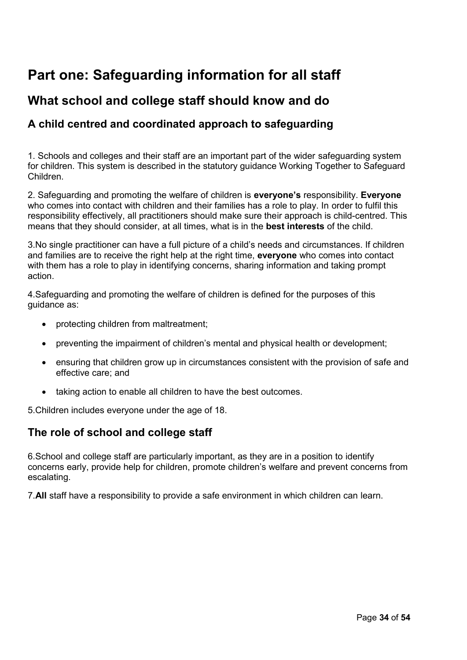# **Part one: Safeguarding information for all staff**

# **What school and college staff should know and do**

# **A child centred and coordinated approach to safeguarding**

1. Schools and colleges and their staff are an important part of the wider safeguarding system for children. This system is described in the statutory guidance Working Together to Safeguard Children.

2. Safeguarding and promoting the welfare of children is **everyone's** responsibility. **Everyone**  who comes into contact with children and their families has a role to play. In order to fulfil this responsibility effectively, all practitioners should make sure their approach is child-centred. This means that they should consider, at all times, what is in the **best interests** of the child.

3.No single practitioner can have a full picture of a child's needs and circumstances. If children and families are to receive the right help at the right time, **everyone** who comes into contact with them has a role to play in identifying concerns, sharing information and taking prompt action.

4.Safeguarding and promoting the welfare of children is defined for the purposes of this guidance as:

- protecting children from maltreatment;
- preventing the impairment of children's mental and physical health or development;
- ensuring that children grow up in circumstances consistent with the provision of safe and effective care; and
- taking action to enable all children to have the best outcomes.

5.Children includes everyone under the age of 18.

## **The role of school and college staff**

6.School and college staff are particularly important, as they are in a position to identify concerns early, provide help for children, promote children's welfare and prevent concerns from escalating.

7.**All** staff have a responsibility to provide a safe environment in which children can learn.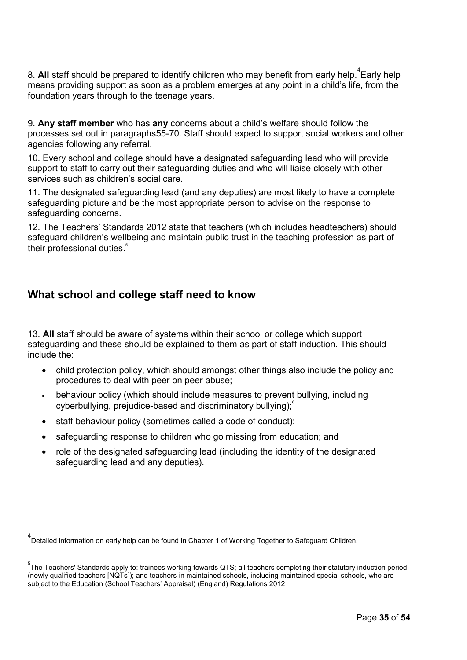8. **All** staff should be prepared to identify children who may benefit from early help.<sup>4</sup>Early help means providing support as soon as a problem emerges at any point in a child's life, from the foundation years through to the teenage years.

9. **Any staff member** who has **any** concerns about a child's welfare should follow the processes set out in paragraphs55-70. Staff should expect to support social workers and other agencies following any referral.

10. Every school and college should have a designated safeguarding lead who will provide support to staff to carry out their safeguarding duties and who will liaise closely with other services such as children's social care.

11. The designated safeguarding lead (and any deputies) are most likely to have a complete safeguarding picture and be the most appropriate person to advise on the response to safeguarding concerns.

12. The Teachers' Standards 2012 state that teachers (which includes headteachers) should safeguard children's wellbeing and maintain public trust in the teaching profession as part of their professional duties.<sup>5</sup>

# **What school and college staff need to know**

13. **All** staff should be aware of systems within their school or college which support safeguarding and these should be explained to them as part of staff induction. This should include the:

- child protection policy, which should amongst other things also include the policy and procedures to deal with peer on peer abuse;
- behaviour policy (which should include measures to prevent bullying, including cyberbullying, prejudice-based and discriminatory bullying);<sup>6</sup>
- staff behaviour policy (sometimes called a code of conduct);
- safeguarding response to children who go missing from education; and
- role of the designated safeguarding lead (including the identity of the designated safeguarding lead and any deputies).

<sup>4</sup><br><sup>1</sup>Detailed information on early help can be found in Chapter 1 of <u>Working Together to Safeguard Children.</u>

 $^5$ The <u>Teachers' Standards </u>apply to: trainees working towards QTS; all teachers completing their statutory induction period (newly qualified teachers [NQTs]); and teachers in maintained schools, including maintained special schools, who are subject to the Education (School Teachers' Appraisal) (England) Regulations 2012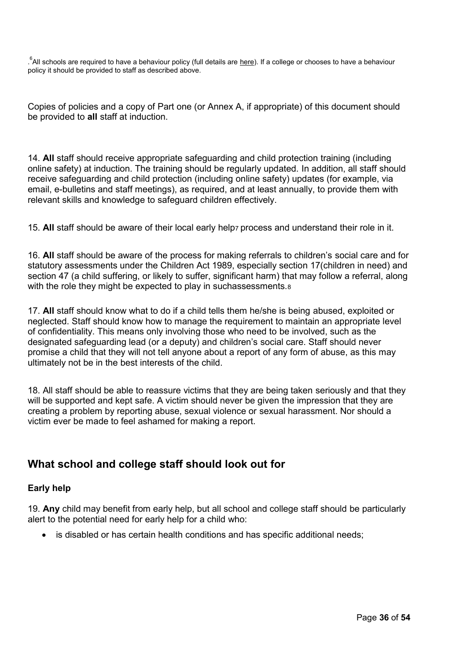$\degree$ All schools are required to have a behaviour policy (full details are <u>here</u>). If a college or chooses to have a behaviour policy it should be provided to staff as described above.

Copies of policies and a copy of Part one (or Annex A, if appropriate) of this document should be provided to **all** staff at induction.

14. **All** staff should receive appropriate safeguarding and child protection training (including online safety) at induction. The training should be regularly updated. In addition, all staff should receive safeguarding and child protection (including online safety) updates (for example, via email, e-bulletins and staff meetings), as required, and at least annually, to provide them with relevant skills and knowledge to safeguard children effectively.

15. **All** staff should be aware of their local early help7 process and understand their role in it.

16. **All** staff should be aware of the process for making referrals to children's social care and for statutory assessments under the Children Act 1989, especially section 17(children in need) and section 47 (a child suffering, or likely to suffer, significant harm) that may follow a referral, along with the role they might be expected to play in suchassessments.<sup>8</sup>

17. **All** staff should know what to do if a child tells them he/she is being abused, exploited or neglected. Staff should know how to manage the requirement to maintain an appropriate level of confidentiality. This means only involving those who need to be involved, such as the designated safeguarding lead (or a deputy) and children's social care. Staff should never promise a child that they will not tell anyone about a report of any form of abuse, as this may ultimately not be in the best interests of the child.

18. All staff should be able to reassure victims that they are being taken seriously and that they will be supported and kept safe. A victim should never be given the impression that they are creating a problem by reporting abuse, sexual violence or sexual harassment. Nor should a victim ever be made to feel ashamed for making a report.

# **What school and college staff should look out for**

## **Early help**

19. **Any** child may benefit from early help, but all school and college staff should be particularly alert to the potential need for early help for a child who:

• is disabled or has certain health conditions and has specific additional needs;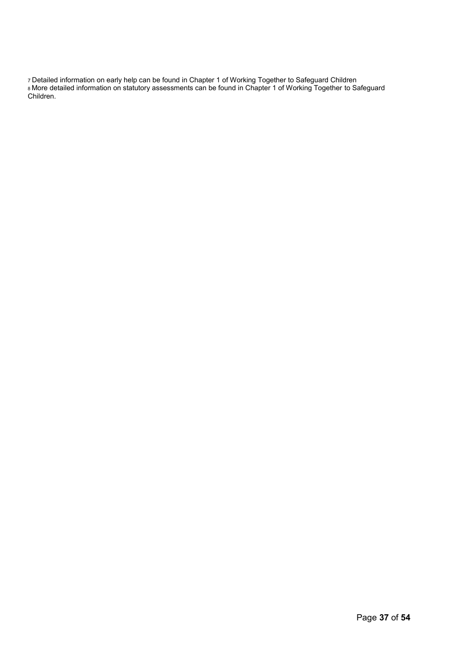7 Detailed information on early help can be found in Chapter 1 of Working Together to Safeguard Children <sup>8</sup>More detailed information on statutory assessments can be found in Chapter 1 of Working Together to Safeguard Children.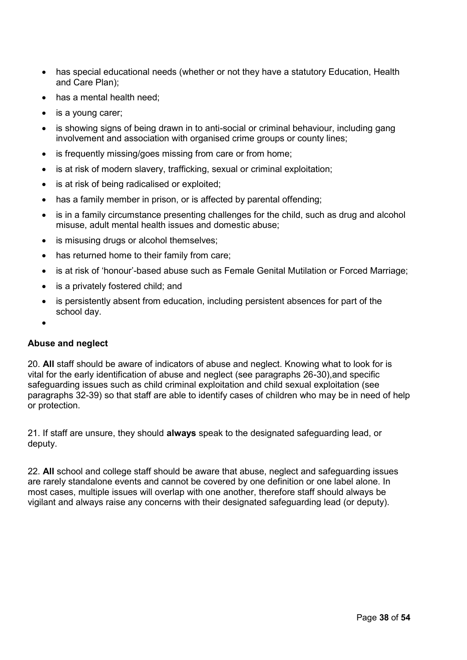- has special educational needs (whether or not they have a statutory Education, Health and Care Plan);
- has a mental health need;
- is a young carer;
- is showing signs of being drawn in to anti-social or criminal behaviour, including gang involvement and association with organised crime groups or county lines;
- is frequently missing/goes missing from care or from home;
- is at risk of modern slavery, trafficking, sexual or criminal exploitation;
- is at risk of being radicalised or exploited;
- has a family member in prison, or is affected by parental offending;
- is in a family circumstance presenting challenges for the child, such as drug and alcohol misuse, adult mental health issues and domestic abuse;
- is misusing drugs or alcohol themselves;
- has returned home to their family from care;
- is at risk of 'honour'-based abuse such as Female Genital Mutilation or Forced Marriage;
- is a privately fostered child; and
- is persistently absent from education, including persistent absences for part of the school day.
- •

## **Abuse and neglect**

20. **All** staff should be aware of indicators of abuse and neglect. Knowing what to look for is vital for the early identification of abuse and neglect (see paragraphs 26-30),and specific safeguarding issues such as child criminal exploitation and child sexual exploitation (see paragraphs 32-39) so that staff are able to identify cases of children who may be in need of help or protection.

21. If staff are unsure, they should **always** speak to the designated safeguarding lead, or deputy.

22. **All** school and college staff should be aware that abuse, neglect and safeguarding issues are rarely standalone events and cannot be covered by one definition or one label alone. In most cases, multiple issues will overlap with one another, therefore staff should always be vigilant and always raise any concerns with their designated safeguarding lead (or deputy).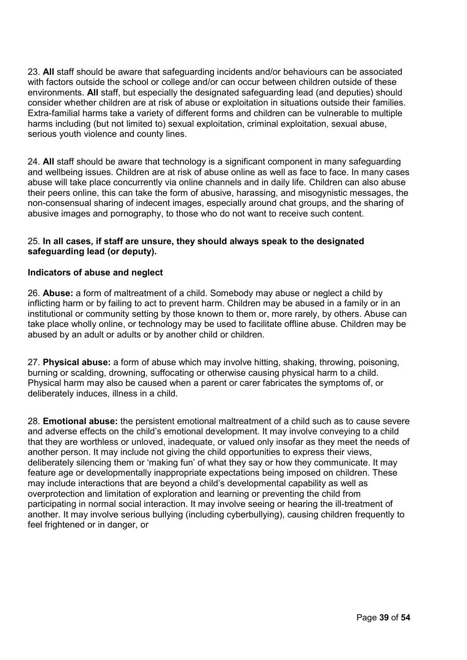23. **All** staff should be aware that safeguarding incidents and/or behaviours can be associated with factors outside the school or college and/or can occur between children outside of these environments. **All** staff, but especially the designated safeguarding lead (and deputies) should consider whether children are at risk of abuse or exploitation in situations outside their families. Extra-familial harms take a variety of different forms and children can be vulnerable to multiple harms including (but not limited to) sexual exploitation, criminal exploitation, sexual abuse, serious youth violence and county lines.

24. **All** staff should be aware that technology is a significant component in many safeguarding and wellbeing issues. Children are at risk of abuse online as well as face to face. In many cases abuse will take place concurrently via online channels and in daily life. Children can also abuse their peers online, this can take the form of abusive, harassing, and misogynistic messages, the non-consensual sharing of indecent images, especially around chat groups, and the sharing of abusive images and pornography, to those who do not want to receive such content.

## 25. **In all cases, if staff are unsure, they should always speak to the designated safeguarding lead (or deputy).**

## **Indicators of abuse and neglect**

26. **Abuse:** a form of maltreatment of a child. Somebody may abuse or neglect a child by inflicting harm or by failing to act to prevent harm. Children may be abused in a family or in an institutional or community setting by those known to them or, more rarely, by others. Abuse can take place wholly online, or technology may be used to facilitate offline abuse. Children may be abused by an adult or adults or by another child or children.

27. **Physical abuse:** a form of abuse which may involve hitting, shaking, throwing, poisoning, burning or scalding, drowning, suffocating or otherwise causing physical harm to a child. Physical harm may also be caused when a parent or carer fabricates the symptoms of, or deliberately induces, illness in a child.

28. **Emotional abuse:** the persistent emotional maltreatment of a child such as to cause severe and adverse effects on the child's emotional development. It may involve conveying to a child that they are worthless or unloved, inadequate, or valued only insofar as they meet the needs of another person. It may include not giving the child opportunities to express their views, deliberately silencing them or 'making fun' of what they say or how they communicate. It may feature age or developmentally inappropriate expectations being imposed on children. These may include interactions that are beyond a child's developmental capability as well as overprotection and limitation of exploration and learning or preventing the child from participating in normal social interaction. It may involve seeing or hearing the ill-treatment of another. It may involve serious bullying (including cyberbullying), causing children frequently to feel frightened or in danger, or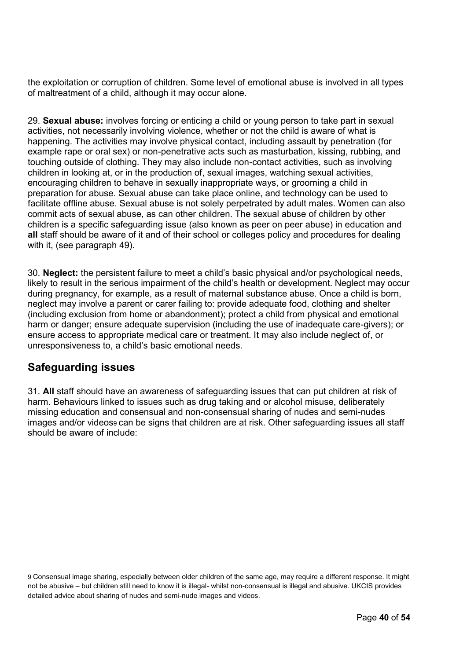the exploitation or corruption of children. Some level of emotional abuse is involved in all types of maltreatment of a child, although it may occur alone.

29. **Sexual abuse:** involves forcing or enticing a child or young person to take part in sexual activities, not necessarily involving violence, whether or not the child is aware of what is happening. The activities may involve physical contact, including assault by penetration (for example rape or oral sex) or non-penetrative acts such as masturbation, kissing, rubbing, and touching outside of clothing. They may also include non-contact activities, such as involving children in looking at, or in the production of, sexual images, watching sexual activities, encouraging children to behave in sexually inappropriate ways, or grooming a child in preparation for abuse. Sexual abuse can take place online, and technology can be used to facilitate offline abuse. Sexual abuse is not solely perpetrated by adult males. Women can also commit acts of sexual abuse, as can other children. The sexual abuse of children by other children is a specific safeguarding issue (also known as peer on peer abuse) in education and **all** staff should be aware of it and of their school or colleges policy and procedures for dealing with it, (see paragraph 49).

30. **Neglect:** the persistent failure to meet a child's basic physical and/or psychological needs, likely to result in the serious impairment of the child's health or development. Neglect may occur during pregnancy, for example, as a result of maternal substance abuse. Once a child is born, neglect may involve a parent or carer failing to: provide adequate food, clothing and shelter (including exclusion from home or abandonment); protect a child from physical and emotional harm or danger; ensure adequate supervision (including the use of inadequate care-givers); or ensure access to appropriate medical care or treatment. It may also include neglect of, or unresponsiveness to, a child's basic emotional needs.

# **Safeguarding issues**

31. **All** staff should have an awareness of safeguarding issues that can put children at risk of harm. Behaviours linked to issues such as drug taking and or alcohol misuse, deliberately missing education and consensual and non-consensual sharing of nudes and semi-nudes images and/or videos<sub>9</sub> can be signs that children are at risk. Other safeguarding issues all staff should be aware of include:

9 Consensual image sharing, especially between older children of the same age, may require a different response. It might not be abusive – but children still need to know it is illegal- whilst non-consensual is illegal and abusive. UKCIS provides detailed advice about sharing of nudes and semi-nude images and videos.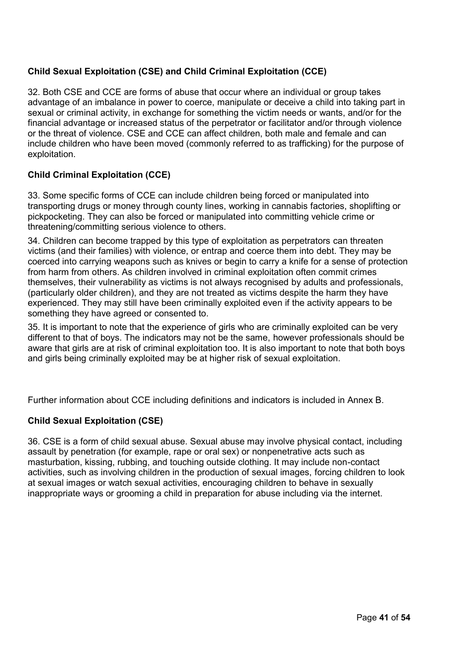## **Child Sexual Exploitation (CSE) and Child Criminal Exploitation (CCE)**

32. Both CSE and CCE are forms of abuse that occur where an individual or group takes advantage of an imbalance in power to coerce, manipulate or deceive a child into taking part in sexual or criminal activity, in exchange for something the victim needs or wants, and/or for the financial advantage or increased status of the perpetrator or facilitator and/or through violence or the threat of violence. CSE and CCE can affect children, both male and female and can include children who have been moved (commonly referred to as trafficking) for the purpose of exploitation.

## **Child Criminal Exploitation (CCE)**

33. Some specific forms of CCE can include children being forced or manipulated into transporting drugs or money through county lines, working in cannabis factories, shoplifting or pickpocketing. They can also be forced or manipulated into committing vehicle crime or threatening/committing serious violence to others.

34. Children can become trapped by this type of exploitation as perpetrators can threaten victims (and their families) with violence, or entrap and coerce them into debt. They may be coerced into carrying weapons such as knives or begin to carry a knife for a sense of protection from harm from others. As children involved in criminal exploitation often commit crimes themselves, their vulnerability as victims is not always recognised by adults and professionals, (particularly older children), and they are not treated as victims despite the harm they have experienced. They may still have been criminally exploited even if the activity appears to be something they have agreed or consented to.

35. It is important to note that the experience of girls who are criminally exploited can be very different to that of boys. The indicators may not be the same, however professionals should be aware that girls are at risk of criminal exploitation too. It is also important to note that both boys and girls being criminally exploited may be at higher risk of sexual exploitation.

Further information about CCE including definitions and indicators is included in Annex B.

## **Child Sexual Exploitation (CSE)**

36. CSE is a form of child sexual abuse. Sexual abuse may involve physical contact, including assault by penetration (for example, rape or oral sex) or nonpenetrative acts such as masturbation, kissing, rubbing, and touching outside clothing. It may include non-contact activities, such as involving children in the production of sexual images, forcing children to look at sexual images or watch sexual activities, encouraging children to behave in sexually inappropriate ways or grooming a child in preparation for abuse including via the internet.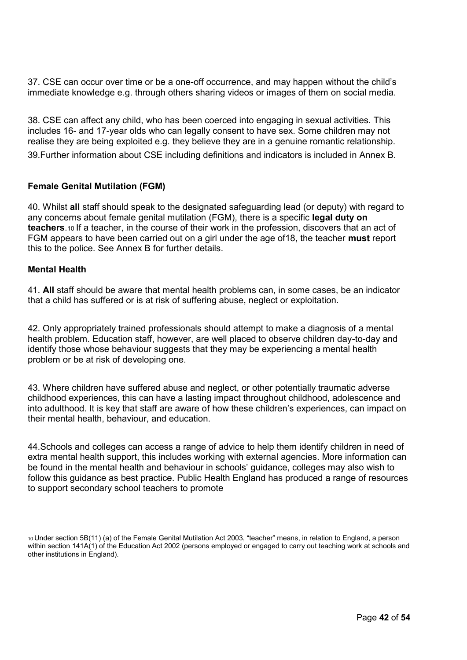37. CSE can occur over time or be a one-off occurrence, and may happen without the child's immediate knowledge e.g. through others sharing videos or images of them on social media.

38. CSE can affect any child, who has been coerced into engaging in sexual activities. This includes 16- and 17-year olds who can legally consent to have sex. Some children may not realise they are being exploited e.g. they believe they are in a genuine romantic relationship. 39.Further information about CSE including definitions and indicators is included in Annex B.

#### **Female Genital Mutilation (FGM)**

40. Whilst **all** staff should speak to the designated safeguarding lead (or deputy) with regard to any concerns about female genital mutilation (FGM), there is a specific **legal duty on teachers**.10 If a teacher, in the course of their work in the profession, discovers that an act of FGM appears to have been carried out on a girl under the age of18, the teacher **must** report this to the police. See Annex B for further details.

#### **Mental Health**

41. **All** staff should be aware that mental health problems can, in some cases, be an indicator that a child has suffered or is at risk of suffering abuse, neglect or exploitation.

42. Only appropriately trained professionals should attempt to make a diagnosis of a mental health problem. Education staff, however, are well placed to observe children day-to-day and identify those whose behaviour suggests that they may be experiencing a mental health problem or be at risk of developing one.

43. Where children have suffered abuse and neglect, or other potentially traumatic adverse childhood experiences, this can have a lasting impact throughout childhood, adolescence and into adulthood. It is key that staff are aware of how these children's experiences, can impact on their mental health, behaviour, and education.

44.Schools and colleges can access a range of advice to help them identify children in need of extra mental health support, this includes working with external agencies. More information can be found in the mental health and behaviour in schools' guidance, colleges may also wish to follow this guidance as best practice. Public Health England has produced a range of resources to support secondary school teachers to promote

<sup>10</sup>Under section 5B(11) (a) of the Female Genital Mutilation Act 2003, "teacher" means, in relation to England, a person within section 141A(1) of the Education Act 2002 (persons employed or engaged to carry out teaching work at schools and other institutions in England).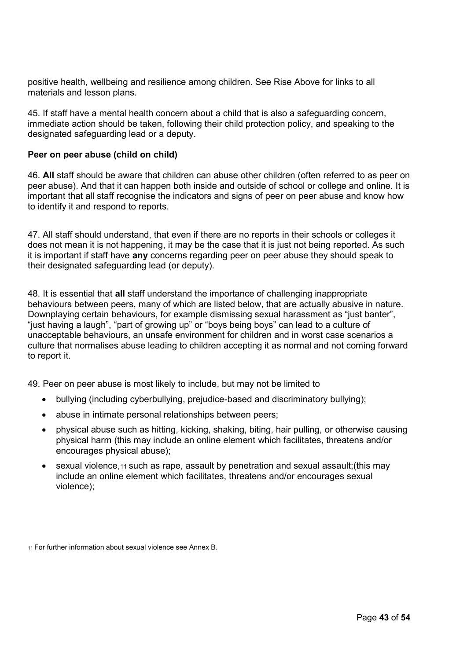positive health, wellbeing and resilience among children. See Rise Above for links to all materials and lesson plans.

45. If staff have a mental health concern about a child that is also a safeguarding concern, immediate action should be taken, following their child protection policy, and speaking to the designated safeguarding lead or a deputy.

## **Peer on peer abuse (child on child)**

46. **All** staff should be aware that children can abuse other children (often referred to as peer on peer abuse). And that it can happen both inside and outside of school or college and online. It is important that all staff recognise the indicators and signs of peer on peer abuse and know how to identify it and respond to reports.

47. All staff should understand, that even if there are no reports in their schools or colleges it does not mean it is not happening, it may be the case that it is just not being reported. As such it is important if staff have **any** concerns regarding peer on peer abuse they should speak to their designated safeguarding lead (or deputy).

48. It is essential that **all** staff understand the importance of challenging inappropriate behaviours between peers, many of which are listed below, that are actually abusive in nature. Downplaying certain behaviours, for example dismissing sexual harassment as "just banter", "just having a laugh", "part of growing up" or "boys being boys" can lead to a culture of unacceptable behaviours, an unsafe environment for children and in worst case scenarios a culture that normalises abuse leading to children accepting it as normal and not coming forward to report it.

49. Peer on peer abuse is most likely to include, but may not be limited to

- bullying (including cyberbullying, prejudice-based and discriminatory bullying);
- abuse in intimate personal relationships between peers;
- physical abuse such as hitting, kicking, shaking, biting, hair pulling, or otherwise causing physical harm (this may include an online element which facilitates, threatens and/or encourages physical abuse);
- sexual violence,11 such as rape, assault by penetration and sexual assault;(this may include an online element which facilitates, threatens and/or encourages sexual violence);

11 For further information about sexual violence see Annex B.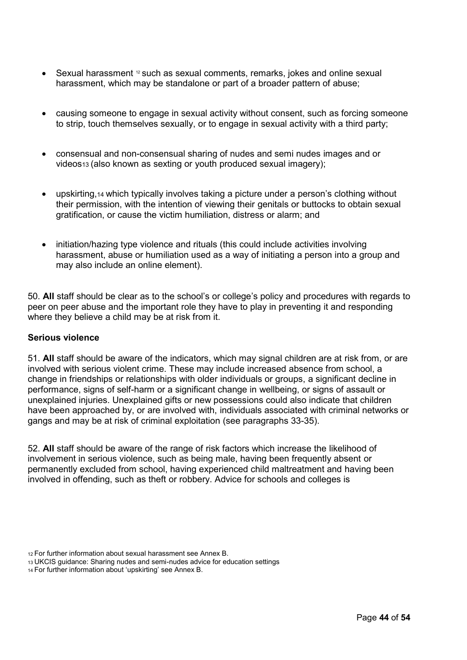- Sexual harassment <sup>12</sup> such as sexual comments, remarks, jokes and online sexual harassment, which may be standalone or part of a broader pattern of abuse;
- causing someone to engage in sexual activity without consent, such as forcing someone to strip, touch themselves sexually, or to engage in sexual activity with a third party;
- consensual and non-consensual sharing of nudes and semi nudes images and or videos13 (also known as sexting or youth produced sexual imagery);
- upskirting,14 which typically involves taking a picture under a person's clothing without their permission, with the intention of viewing their genitals or buttocks to obtain sexual gratification, or cause the victim humiliation, distress or alarm; and
- initiation/hazing type violence and rituals (this could include activities involving harassment, abuse or humiliation used as a way of initiating a person into a group and may also include an online element).

50. **All** staff should be clear as to the school's or college's policy and procedures with regards to peer on peer abuse and the important role they have to play in preventing it and responding where they believe a child may be at risk from it.

#### **Serious violence**

51. **All** staff should be aware of the indicators, which may signal children are at risk from, or are involved with serious violent crime. These may include increased absence from school, a change in friendships or relationships with older individuals or groups, a significant decline in performance, signs of self-harm or a significant change in wellbeing, or signs of assault or unexplained injuries. Unexplained gifts or new possessions could also indicate that children have been approached by, or are involved with, individuals associated with criminal networks or gangs and may be at risk of criminal exploitation (see paragraphs 33-35).

52. **All** staff should be aware of the range of risk factors which increase the likelihood of involvement in serious violence, such as being male, having been frequently absent or permanently excluded from school, having experienced child maltreatment and having been involved in offending, such as theft or robbery. Advice for schools and colleges is

<sup>12</sup>For further information about sexual harassment see Annex B.

<sup>13</sup>UKCIS guidance: Sharing nudes and semi-nudes advice for education settings

<sup>14</sup> For further information about 'upskirting' see Annex B.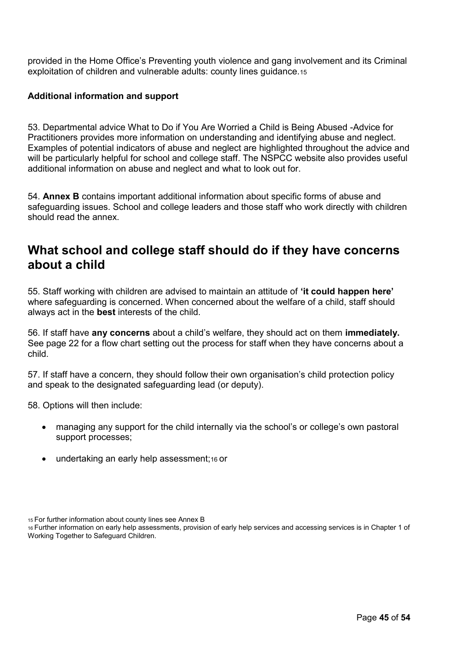provided in the Home Office's Preventing youth violence and gang involvement and its Criminal exploitation of children and vulnerable adults: county lines guidance.<sup>15</sup>

## **Additional information and support**

53. Departmental advice What to Do if You Are Worried a Child is Being Abused -Advice for Practitioners provides more information on understanding and identifying abuse and neglect. Examples of potential indicators of abuse and neglect are highlighted throughout the advice and will be particularly helpful for school and college staff. The NSPCC website also provides useful additional information on abuse and neglect and what to look out for.

54. **Annex B** contains important additional information about specific forms of abuse and safeguarding issues. School and college leaders and those staff who work directly with children should read the annex.

# **What school and college staff should do if they have concerns about a child**

55. Staff working with children are advised to maintain an attitude of **'it could happen here'**  where safeguarding is concerned. When concerned about the welfare of a child, staff should always act in the **best** interests of the child.

56. If staff have **any concerns** about a child's welfare, they should act on them **immediately.**  See page 22 for a flow chart setting out the process for staff when they have concerns about a child.

57. If staff have a concern, they should follow their own organisation's child protection policy and speak to the designated safeguarding lead (or deputy).

58. Options will then include:

- managing any support for the child internally via the school's or college's own pastoral support processes;
- undertaking an early help assessment;16 or

<sup>15</sup>For further information about county lines see Annex B

<sup>16</sup>Further information on early help assessments, provision of early help services and accessing services is in Chapter 1 of Working Together to Safeguard Children.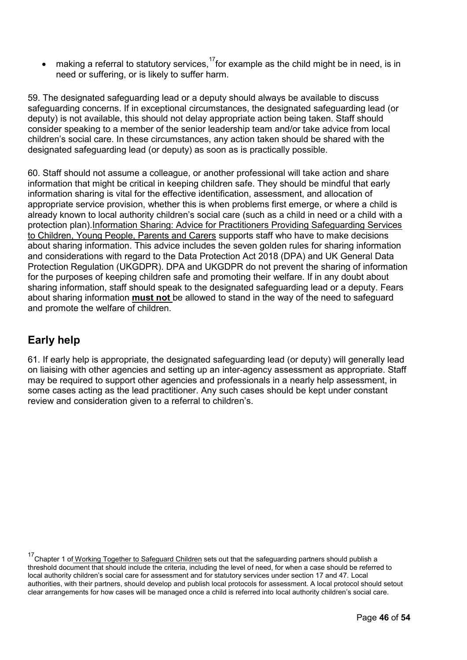making a referral to statutory services,  $^{17}$ for example as the child might be in need, is in need or suffering, or is likely to suffer harm.

59. The designated safeguarding lead or a deputy should always be available to discuss safeguarding concerns. If in exceptional circumstances, the designated safeguarding lead (or deputy) is not available, this should not delay appropriate action being taken. Staff should consider speaking to a member of the senior leadership team and/or take advice from local children's social care. In these circumstances, any action taken should be shared with the designated safeguarding lead (or deputy) as soon as is practically possible.

60. Staff should not assume a colleague, or another professional will take action and share information that might be critical in keeping children safe. They should be mindful that early information sharing is vital for the effective identification, assessment, and allocation of appropriate service provision, whether this is when problems first emerge, or where a child is already known to local authority children's social care (such as a child in need or a child with a protection plan).Information Sharing: Advice for Practitioners Providing Safeguarding Services to Children, Young People, Parents and Carers supports staff who have to make decisions about sharing information. This advice includes the seven golden rules for sharing information and considerations with regard to the Data Protection Act 2018 (DPA) and UK General Data Protection Regulation (UKGDPR). DPA and UKGDPR do not prevent the sharing of information for the purposes of keeping children safe and promoting their welfare. If in any doubt about sharing information, staff should speak to the designated safeguarding lead or a deputy. Fears about sharing information **must not** be allowed to stand in the way of the need to safeguard and promote the welfare of children.

# **Early help**

61. If early help is appropriate, the designated safeguarding lead (or deputy) will generally lead on liaising with other agencies and setting up an inter-agency assessment as appropriate. Staff may be required to support other agencies and professionals in a nearly help assessment, in some cases acting as the lead practitioner. Any such cases should be kept under constant review and consideration given to a referral to children's.

<sup>&</sup>lt;sup>17</sup>Chapter 1 of Working Together to Safeguard Children sets out that the safeguarding partners should publish a threshold document that should include the criteria, including the level of need, for when a case should be referred to local authority children's social care for assessment and for statutory services under section 17 and 47. Local authorities, with their partners, should develop and publish local protocols for assessment. A local protocol should setout clear arrangements for how cases will be managed once a child is referred into local authority children's social care.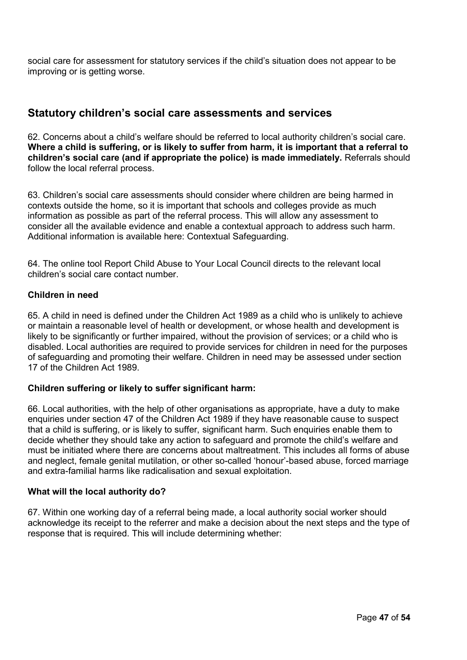social care for assessment for statutory services if the child's situation does not appear to be improving or is getting worse.

## **Statutory children's social care assessments and services**

62. Concerns about a child's welfare should be referred to local authority children's social care. **Where a child is suffering, or is likely to suffer from harm, it is important that a referral to children's social care (and if appropriate the police) is made immediately.** Referrals should follow the local referral process.

63. Children's social care assessments should consider where children are being harmed in contexts outside the home, so it is important that schools and colleges provide as much information as possible as part of the referral process. This will allow any assessment to consider all the available evidence and enable a contextual approach to address such harm. Additional information is available here: Contextual Safeguarding.

64. The online tool Report Child Abuse to Your Local Council directs to the relevant local children's social care contact number.

## **Children in need**

65. A child in need is defined under the Children Act 1989 as a child who is unlikely to achieve or maintain a reasonable level of health or development, or whose health and development is likely to be significantly or further impaired, without the provision of services; or a child who is disabled. Local authorities are required to provide services for children in need for the purposes of safeguarding and promoting their welfare. Children in need may be assessed under section 17 of the Children Act 1989.

## **Children suffering or likely to suffer significant harm:**

66. Local authorities, with the help of other organisations as appropriate, have a duty to make enquiries under section 47 of the Children Act 1989 if they have reasonable cause to suspect that a child is suffering, or is likely to suffer, significant harm. Such enquiries enable them to decide whether they should take any action to safeguard and promote the child's welfare and must be initiated where there are concerns about maltreatment. This includes all forms of abuse and neglect, female genital mutilation, or other so-called 'honour'-based abuse, forced marriage and extra-familial harms like radicalisation and sexual exploitation.

## **What will the local authority do?**

67. Within one working day of a referral being made, a local authority social worker should acknowledge its receipt to the referrer and make a decision about the next steps and the type of response that is required. This will include determining whether: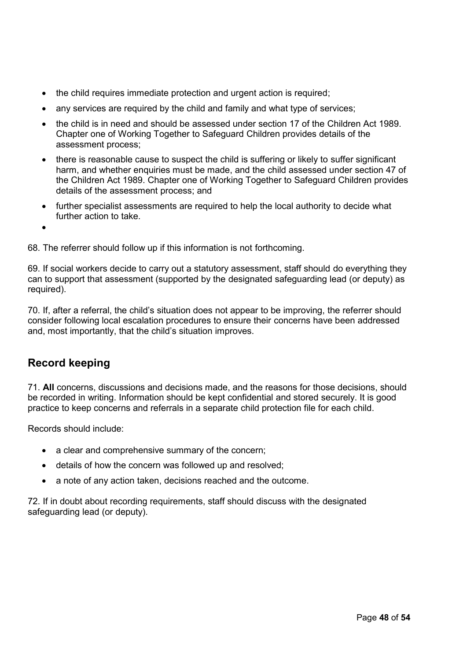- the child requires immediate protection and urgent action is required;
- any services are required by the child and family and what type of services;
- the child is in need and should be assessed under section 17 of the Children Act 1989. Chapter one of Working Together to Safeguard Children provides details of the assessment process;
- there is reasonable cause to suspect the child is suffering or likely to suffer significant harm, and whether enquiries must be made, and the child assessed under section 47 of the Children Act 1989. Chapter one of Working Together to Safeguard Children provides details of the assessment process; and
- further specialist assessments are required to help the local authority to decide what further action to take.
- •

68. The referrer should follow up if this information is not forthcoming.

69. If social workers decide to carry out a statutory assessment, staff should do everything they can to support that assessment (supported by the designated safeguarding lead (or deputy) as required).

70. If, after a referral, the child's situation does not appear to be improving, the referrer should consider following local escalation procedures to ensure their concerns have been addressed and, most importantly, that the child's situation improves.

# **Record keeping**

71. **All** concerns, discussions and decisions made, and the reasons for those decisions, should be recorded in writing. Information should be kept confidential and stored securely. It is good practice to keep concerns and referrals in a separate child protection file for each child.

Records should include:

- a clear and comprehensive summary of the concern;
- details of how the concern was followed up and resolved;
- a note of any action taken, decisions reached and the outcome.

72. If in doubt about recording requirements, staff should discuss with the designated safeguarding lead (or deputy).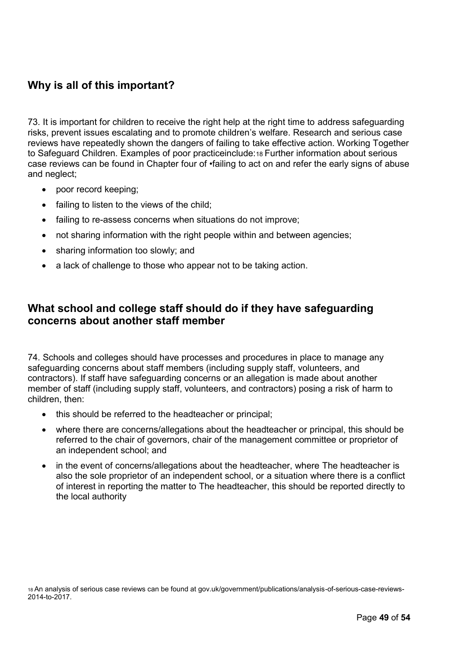# **Why is all of this important?**

73. It is important for children to receive the right help at the right time to address safeguarding risks, prevent issues escalating and to promote children's welfare. Research and serious case reviews have repeatedly shown the dangers of failing to take effective action. Working Together to Safeguard Children. Examples of poor practiceinclude:18 Further information about serious case reviews can be found in Chapter four of •failing to act on and refer the early signs of abuse and neglect;

- poor record keeping;
- failing to listen to the views of the child:
- failing to re-assess concerns when situations do not improve:
- not sharing information with the right people within and between agencies;
- sharing information too slowly; and
- a lack of challenge to those who appear not to be taking action.

# **What school and college staff should do if they have safeguarding concerns about another staff member**

74. Schools and colleges should have processes and procedures in place to manage any safeguarding concerns about staff members (including supply staff, volunteers, and contractors). If staff have safeguarding concerns or an allegation is made about another member of staff (including supply staff, volunteers, and contractors) posing a risk of harm to children, then:

- this should be referred to the headteacher or principal;
- where there are concerns/allegations about the headteacher or principal, this should be referred to the chair of governors, chair of the management committee or proprietor of an independent school; and
- in the event of concerns/allegations about the headteacher, where The headteacher is also the sole proprietor of an independent school, or a situation where there is a conflict of interest in reporting the matter to The headteacher, this should be reported directly to the local authority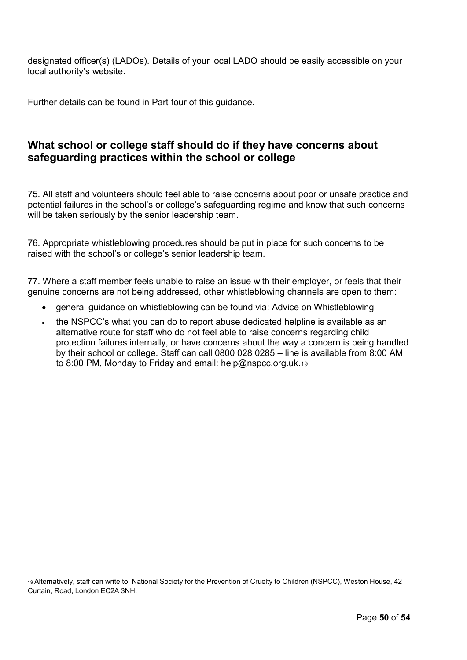designated officer(s) (LADOs). Details of your local LADO should be easily accessible on your local authority's website.

Further details can be found in Part four of this guidance.

# **What school or college staff should do if they have concerns about safeguarding practices within the school or college**

75. All staff and volunteers should feel able to raise concerns about poor or unsafe practice and potential failures in the school's or college's safeguarding regime and know that such concerns will be taken seriously by the senior leadership team.

76. Appropriate whistleblowing procedures should be put in place for such concerns to be raised with the school's or college's senior leadership team.

77. Where a staff member feels unable to raise an issue with their employer, or feels that their genuine concerns are not being addressed, other whistleblowing channels are open to them:

- general guidance on whistleblowing can be found via: Advice on Whistleblowing
- the NSPCC's what you can do to report abuse dedicated helpline is available as an alternative route for staff who do not feel able to raise concerns regarding child protection failures internally, or have concerns about the way a concern is being handled by their school or college. Staff can call 0800 028 0285 – line is available from 8:00 AM to 8:00 PM, Monday to Friday and email: help@nspcc.org.uk.<sup>19</sup>

<sup>19</sup>Alternatively, staff can write to: National Society for the Prevention of Cruelty to Children (NSPCC), Weston House, 42 Curtain, Road, London EC2A 3NH.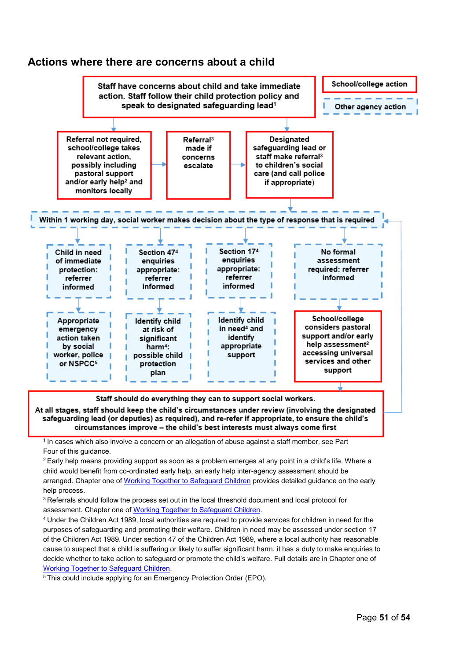## **Actions where there are concerns about a child**



safeguarding lead (or deputies) as required), and re-refer if appropriate, to ensure the child's circumstances improve - the child's best interests must always come first

<sup>1</sup> In cases which also involve a concern or an allegation of abuse against a staff member, see Part Four of this guidance.

 $2$  Early help means providing support as soon as a problem emerges at any point in a child's life. Where a child would benefit from co-ordinated early help, an early help inter-agency assessment should be arranged. Chapter one of Working [Together to Safeguard Children](https://www.gov.uk/government/publications/working-together-to-safeguard-children--2) provides detailed guidance on the early help process.

<sup>3</sup> Referrals should follow the process set out in the local threshold document and local protocol for assessment. Chapter one of [Working Together to Safeguard Children.](https://www.gov.uk/government/publications/working-together-to-safeguard-children--2)

<sup>4</sup>Under the Children Act 1989, local authorities are required to provide services for children in need for the purposes of safeguarding and promoting their welfare. Children in need may be assessed under section 17 of the Children Act 1989. Under section 47 of the Children Act 1989, where a local authority has reasonable cause to suspect that a child is suffering or likely to suffer significant harm, it has a duty to make enquiries to decide whether to take action to safeguard or promote the child's welfare. Full details are in Chapter one of [Working Together to Safeguard Children.](https://www.gov.uk/government/publications/working-together-to-safeguard-children--2)

5 This could include applying for an Emergency Protection Order (EPO).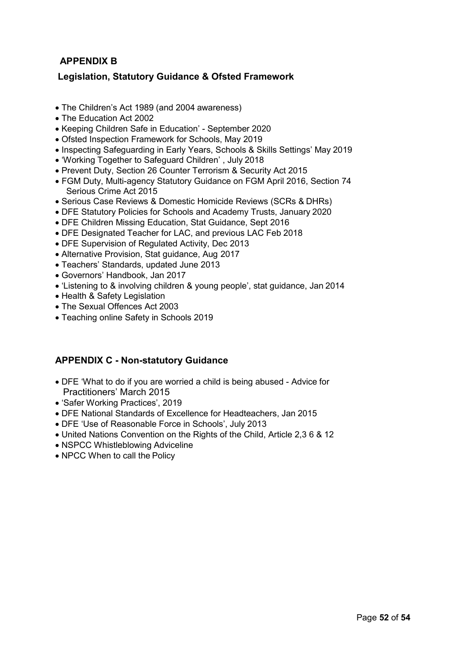## **APPENDIX B**

## **Legislation, Statutory Guidance & Ofsted Framework**

- The Children's Act 1989 (and 2004 awareness)
- The Education Act 2002
- Keeping Children Safe in Education' September 2020
- Ofsted Inspection Framework for Schools, May 2019
- Inspecting Safeguarding in Early Years, Schools & Skills Settings' May 2019
- 'Working Together to Safeguard Children' , July 2018
- Prevent Duty, Section 26 Counter Terrorism & Security Act 2015
- FGM Duty, Multi-agency Statutory Guidance on FGM April 2016, Section 74 Serious Crime Act 2015
- Serious Case Reviews & Domestic Homicide Reviews (SCRs & DHRs)
- DFE Statutory Policies for Schools and Academy Trusts, January 2020
- DFE Children Missing Education, Stat Guidance, Sept 2016
- DFE Designated Teacher for LAC, and previous LAC Feb 2018
- DFE Supervision of Regulated Activity, Dec 2013
- Alternative Provision, Stat guidance, Aug 2017
- Teachers' Standards, updated June 2013
- Governors' Handbook, Jan 2017
- 'Listening to & involving children & young people', stat guidance, Jan 2014
- Health & Safety Legislation
- The Sexual Offences Act 2003
- Teaching online Safety in Schools 2019

## **APPENDIX C - Non-statutory Guidance**

- DFE 'What to do if you are worried a child is being abused Advice for Practitioners' March 2015
- 'Safer Working Practices', 2019
- DFE National Standards of Excellence for Headteachers, Jan 2015
- DFE 'Use of Reasonable Force in Schools', July 2013
- United Nations Convention on the Rights of the Child, Article 2,3 6 & 12
- NSPCC Whistleblowing Adviceline
- NPCC When to call the Policy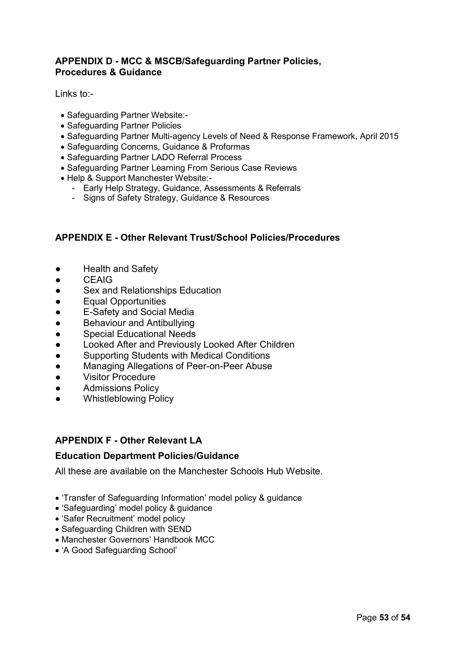## **APPENDIX D - MCC & MSCB/Safeguarding Partner Policies, Procedures & Guidance**

Links to:-

- Safeguarding Partner Website:-
- Safeguarding Partner Policies
- Safeguarding Partner Multi-agency Levels of Need & Response Framework, April 2015
- Safeguarding Concerns, Guidance & Proformas
- Safeguarding Partner LADO Referral Process
- Safeguarding Partner Learning From Serious Case Reviews
- Help & Support Manchester Website:-
	- Early Help Strategy, Guidance, Assessments & Referrals
	- Signs of Safety Strategy, Guidance & Resources

## **APPENDIX E - Other Relevant Trust/School Policies/Procedures**

- Health and Safety
- CEAIG
- Sex and Relationships Education
- Equal Opportunities
- E-Safety and Social Media
- Behaviour and Antibullying
- Special Educational Needs
- Looked After and Previously Looked After Children
- Supporting Students with Medical Conditions
- Managing Allegations of Peer-on-Peer Abuse
- Visitor Procedure
- Admissions Policy
- Whistleblowing Policy

## **APPENDIX F - Other Relevant LA**

## **Education Department Policies/Guidance**

All these are available on the Manchester Schools Hub Website.

- 'Transfer of Safeguarding Information' model policy & guidance
- 'Safeguarding' model policy & guidance
- 'Safer Recruitment' model policy
- Safeguarding Children with SEND
- Manchester Governors' Handbook MCC
- 'A Good Safeguarding School'